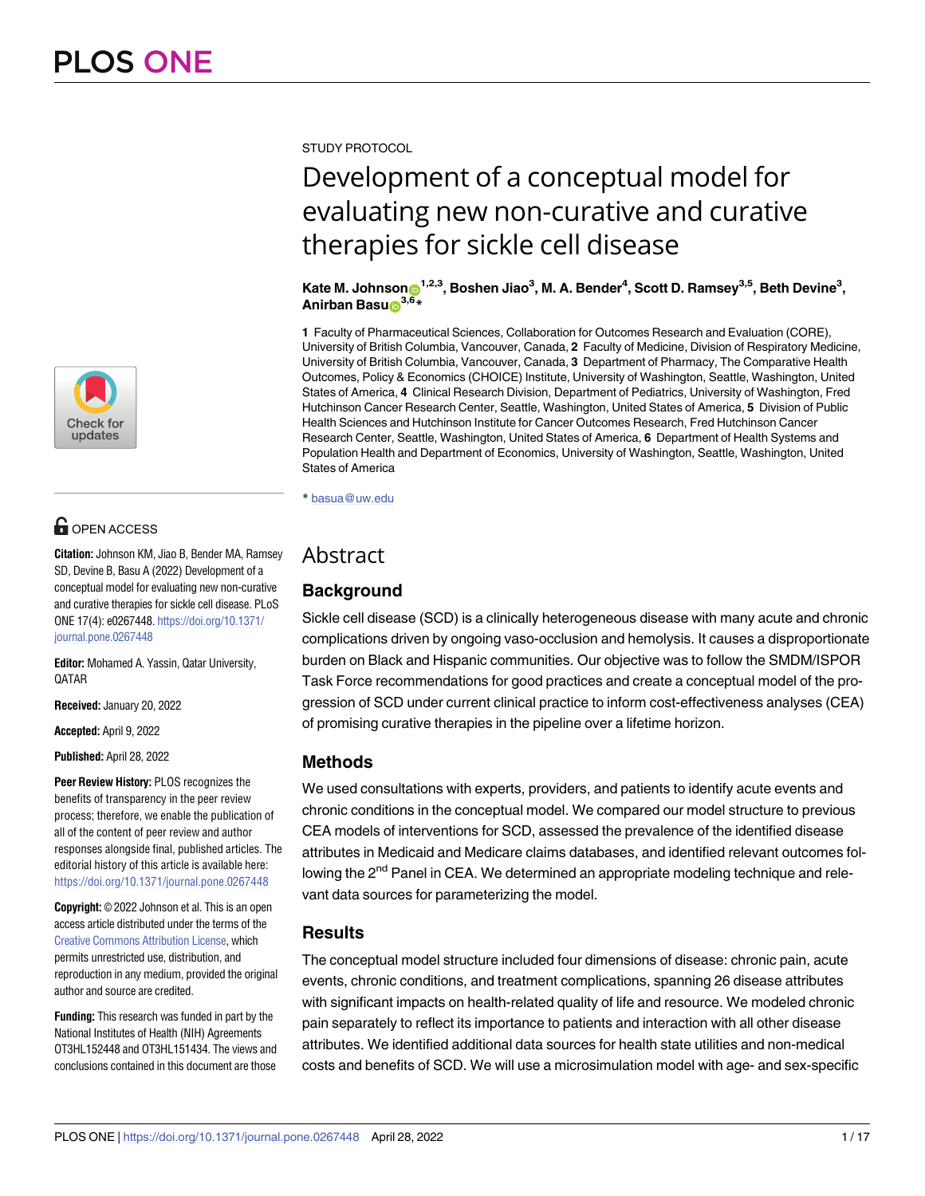

## **OPEN ACCESS**

**Citation:** Johnson KM, Jiao B, Bender MA, Ramsey SD, Devine B, Basu A (2022) Development of a conceptual model for evaluating new non-curative and curative therapies for sickle cell disease. PLoS ONE 17(4): e0267448. [https://doi.org/10.1371/](https://doi.org/10.1371/journal.pone.0267448) [journal.pone.0267448](https://doi.org/10.1371/journal.pone.0267448)

**Editor:** Mohamed A. Yassin, Qatar University, QATAR

**Received:** January 20, 2022

**Accepted:** April 9, 2022

**Published:** April 28, 2022

**Peer Review History:** PLOS recognizes the benefits of transparency in the peer review process; therefore, we enable the publication of all of the content of peer review and author responses alongside final, published articles. The editorial history of this article is available here: <https://doi.org/10.1371/journal.pone.0267448>

**Copyright:** © 2022 Johnson et al. This is an open access article distributed under the terms of the Creative Commons [Attribution](http://creativecommons.org/licenses/by/4.0/) License, which permits unrestricted use, distribution, and reproduction in any medium, provided the original author and source are credited.

**Funding:** This research was funded in part by the National Institutes of Health (NIH) Agreements OT3HL152448 and OT3HL151434. The views and conclusions contained in this document are those

STUDY PROTOCOL

# Development of a conceptual model for evaluating new non-curative and curative therapies for sickle cell disease

 $K$ ate M. Johnson $\mathbf{O}^{1,2,3}$ , Boshen Jiao $^3$ , M. A. Bender<sup>4</sup>, Scott D. Ramsey $^{3,5}$ , Beth Devine $^3$ , **Anirban Basu<sup>2,6\*</sup>** 

**1** Faculty of Pharmaceutical Sciences, Collaboration for Outcomes Research and Evaluation (CORE), University of British Columbia, Vancouver, Canada, **2** Faculty of Medicine, Division of Respiratory Medicine, University of British Columbia, Vancouver, Canada, **3** Department of Pharmacy, The Comparative Health Outcomes, Policy & Economics (CHOICE) Institute, University of Washington, Seattle, Washington, United States of America, **4** Clinical Research Division, Department of Pediatrics, University of Washington, Fred Hutchinson Cancer Research Center, Seattle, Washington, United States of America, **5** Division of Public Health Sciences and Hutchinson Institute for Cancer Outcomes Research, Fred Hutchinson Cancer Research Center, Seattle, Washington, United States of America, **6** Department of Health Systems and Population Health and Department of Economics, University of Washington, Seattle, Washington, United States of America

\* basua@uw.edu

## Abstract

## **Background**

Sickle cell disease (SCD) is a clinically heterogeneous disease with many acute and chronic complications driven by ongoing vaso-occlusion and hemolysis. It causes a disproportionate burden on Black and Hispanic communities. Our objective was to follow the SMDM/ISPOR Task Force recommendations for good practices and create a conceptual model of the progression of SCD under current clinical practice to inform cost-effectiveness analyses (CEA) of promising curative therapies in the pipeline over a lifetime horizon.

## **Methods**

We used consultations with experts, providers, and patients to identify acute events and chronic conditions in the conceptual model. We compared our model structure to previous CEA models of interventions for SCD, assessed the prevalence of the identified disease attributes in Medicaid and Medicare claims databases, and identified relevant outcomes following the 2<sup>nd</sup> Panel in CEA. We determined an appropriate modeling technique and relevant data sources for parameterizing the model.

## **Results**

The conceptual model structure included four dimensions of disease: chronic pain, acute events, chronic conditions, and treatment complications, spanning 26 disease attributes with significant impacts on health-related quality of life and resource. We modeled chronic pain separately to reflect its importance to patients and interaction with all other disease attributes. We identified additional data sources for health state utilities and non-medical costs and benefits of SCD. We will use a microsimulation model with age- and sex-specific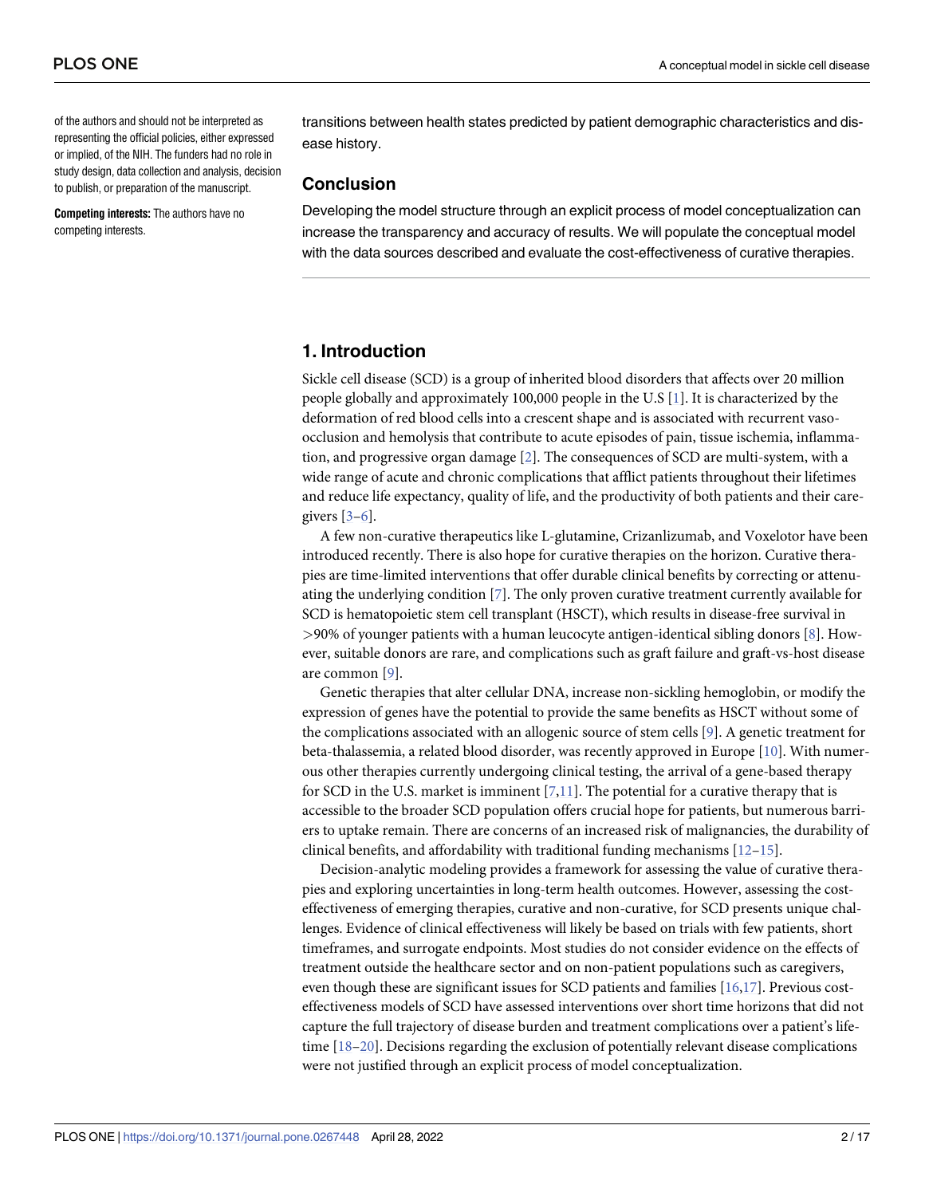<span id="page-1-0"></span>of the authors and should not be interpreted as representing the official policies, either expressed or implied, of the NIH. The funders had no role in study design, data collection and analysis, decision to publish, or preparation of the manuscript.

**Competing interests:** The authors have no competing interests.

transitions between health states predicted by patient demographic characteristics and disease history.

#### **Conclusion**

Developing the model structure through an explicit process of model conceptualization can increase the transparency and accuracy of results. We will populate the conceptual model with the data sources described and evaluate the cost-effectiveness of curative therapies.

#### **1. Introduction**

Sickle cell disease (SCD) is a group of inherited blood disorders that affects over 20 million people globally and approximately 100,000 people in the U.S [\[1](#page-13-0)]. It is characterized by the deformation of red blood cells into a crescent shape and is associated with recurrent vasoocclusion and hemolysis that contribute to acute episodes of pain, tissue ischemia, inflammation, and progressive organ damage [\[2](#page-13-0)]. The consequences of SCD are multi-system, with a wide range of acute and chronic complications that afflict patients throughout their lifetimes and reduce life expectancy, quality of life, and the productivity of both patients and their caregivers  $[3-6]$ .

A few non-curative therapeutics like L-glutamine, Crizanlizumab, and Voxelotor have been introduced recently. There is also hope for curative therapies on the horizon. Curative therapies are time-limited interventions that offer durable clinical benefits by correcting or attenuating the underlying condition [[7](#page-13-0)]. The only proven curative treatment currently available for SCD is hematopoietic stem cell transplant (HSCT), which results in disease-free survival in *>*90% of younger patients with a human leucocyte antigen-identical sibling donors [\[8](#page-13-0)]. However, suitable donors are rare, and complications such as graft failure and graft-vs-host disease are common [\[9](#page-13-0)].

Genetic therapies that alter cellular DNA, increase non-sickling hemoglobin, or modify the expression of genes have the potential to provide the same benefits as HSCT without some of the complications associated with an allogenic source of stem cells [[9\]](#page-13-0). A genetic treatment for beta-thalassemia, a related blood disorder, was recently approved in Europe [\[10\]](#page-13-0). With numerous other therapies currently undergoing clinical testing, the arrival of a gene-based therapy for SCD in the U.S. market is imminent [\[7,11\]](#page-13-0). The potential for a curative therapy that is accessible to the broader SCD population offers crucial hope for patients, but numerous barriers to uptake remain. There are concerns of an increased risk of malignancies, the durability of clinical benefits, and affordability with traditional funding mechanisms [\[12–](#page-13-0)[15\]](#page-14-0).

Decision-analytic modeling provides a framework for assessing the value of curative therapies and exploring uncertainties in long-term health outcomes. However, assessing the costeffectiveness of emerging therapies, curative and non-curative, for SCD presents unique challenges. Evidence of clinical effectiveness will likely be based on trials with few patients, short timeframes, and surrogate endpoints. Most studies do not consider evidence on the effects of treatment outside the healthcare sector and on non-patient populations such as caregivers, even though these are significant issues for SCD patients and families [\[16,17](#page-14-0)]. Previous costeffectiveness models of SCD have assessed interventions over short time horizons that did not capture the full trajectory of disease burden and treatment complications over a patient's lifetime [[18–20\]](#page-14-0). Decisions regarding the exclusion of potentially relevant disease complications were not justified through an explicit process of model conceptualization.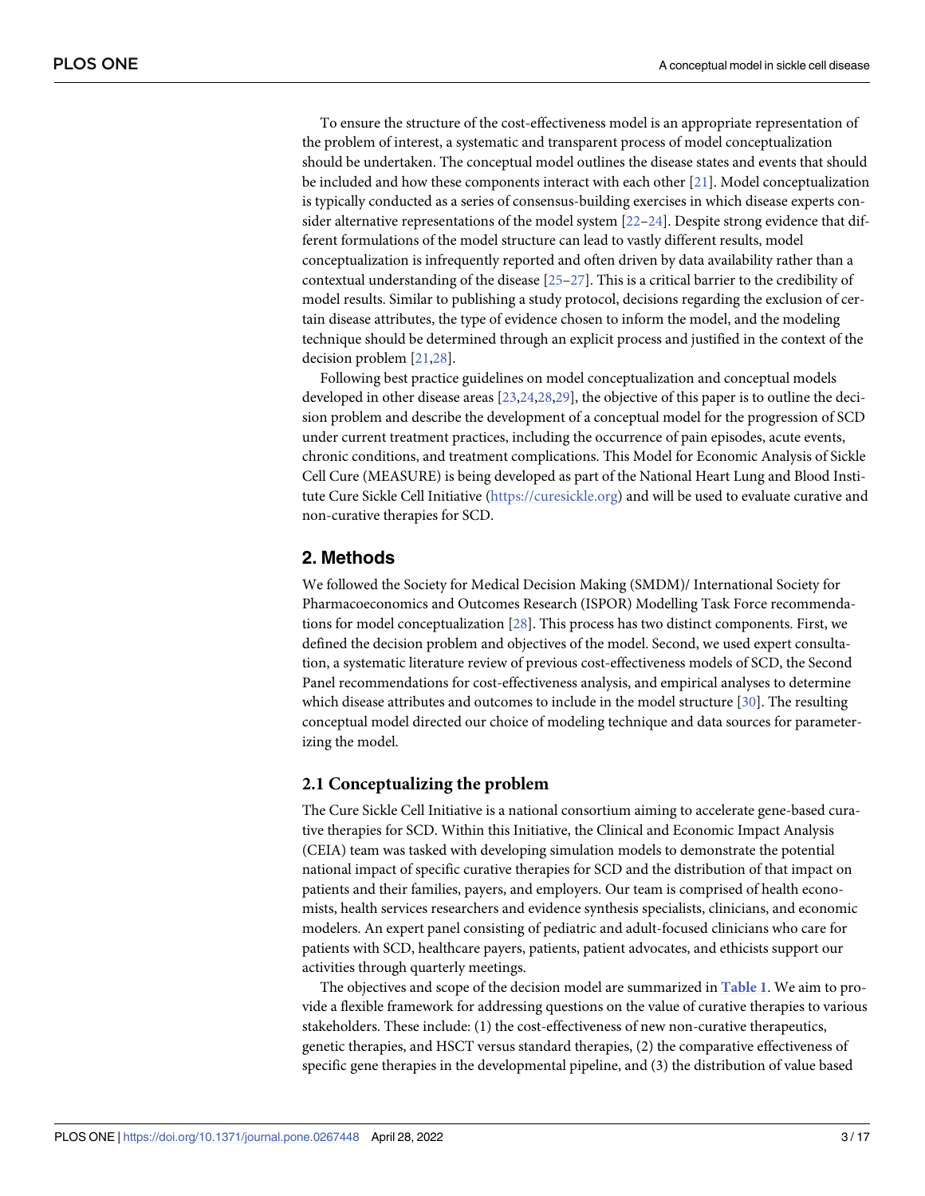<span id="page-2-0"></span>To ensure the structure of the cost-effectiveness model is an appropriate representation of the problem of interest, a systematic and transparent process of model conceptualization should be undertaken. The conceptual model outlines the disease states and events that should be included and how these components interact with each other [[21](#page-14-0)]. Model conceptualization is typically conducted as a series of consensus-building exercises in which disease experts consider alternative representations of the model system  $[22-24]$ . Despite strong evidence that different formulations of the model structure can lead to vastly different results, model conceptualization is infrequently reported and often driven by data availability rather than a contextual understanding of the disease [\[25–27](#page-14-0)]. This is a critical barrier to the credibility of model results. Similar to publishing a study protocol, decisions regarding the exclusion of certain disease attributes, the type of evidence chosen to inform the model, and the modeling technique should be determined through an explicit process and justified in the context of the decision problem [[21](#page-14-0),[28](#page-14-0)].

Following best practice guidelines on model conceptualization and conceptual models developed in other disease areas [[23,24,28,29](#page-14-0)], the objective of this paper is to outline the decision problem and describe the development of a conceptual model for the progression of SCD under current treatment practices, including the occurrence of pain episodes, acute events, chronic conditions, and treatment complications. This Model for Economic Analysis of Sickle Cell Cure (MEASURE) is being developed as part of the National Heart Lung and Blood Institute Cure Sickle Cell Initiative ([https://curesickle.org\)](https://curesickle.org/) and will be used to evaluate curative and non-curative therapies for SCD.

#### **2. Methods**

We followed the Society for Medical Decision Making (SMDM)/ International Society for Pharmacoeconomics and Outcomes Research (ISPOR) Modelling Task Force recommendations for model conceptualization [[28](#page-14-0)]. This process has two distinct components. First, we defined the decision problem and objectives of the model. Second, we used expert consultation, a systematic literature review of previous cost-effectiveness models of SCD, the Second Panel recommendations for cost-effectiveness analysis, and empirical analyses to determine which disease attributes and outcomes to include in the model structure [\[30\]](#page-14-0). The resulting conceptual model directed our choice of modeling technique and data sources for parameterizing the model.

#### **2.1 Conceptualizing the problem**

The Cure Sickle Cell Initiative is a national consortium aiming to accelerate gene-based curative therapies for SCD. Within this Initiative, the Clinical and Economic Impact Analysis (CEIA) team was tasked with developing simulation models to demonstrate the potential national impact of specific curative therapies for SCD and the distribution of that impact on patients and their families, payers, and employers. Our team is comprised of health economists, health services researchers and evidence synthesis specialists, clinicians, and economic modelers. An expert panel consisting of pediatric and adult-focused clinicians who care for patients with SCD, healthcare payers, patients, patient advocates, and ethicists support our activities through quarterly meetings.

The objectives and scope of the decision model are summarized in **[Table](#page-3-0) 1**. We aim to provide a flexible framework for addressing questions on the value of curative therapies to various stakeholders. These include: (1) the cost-effectiveness of new non-curative therapeutics, genetic therapies, and HSCT versus standard therapies, (2) the comparative effectiveness of specific gene therapies in the developmental pipeline, and (3) the distribution of value based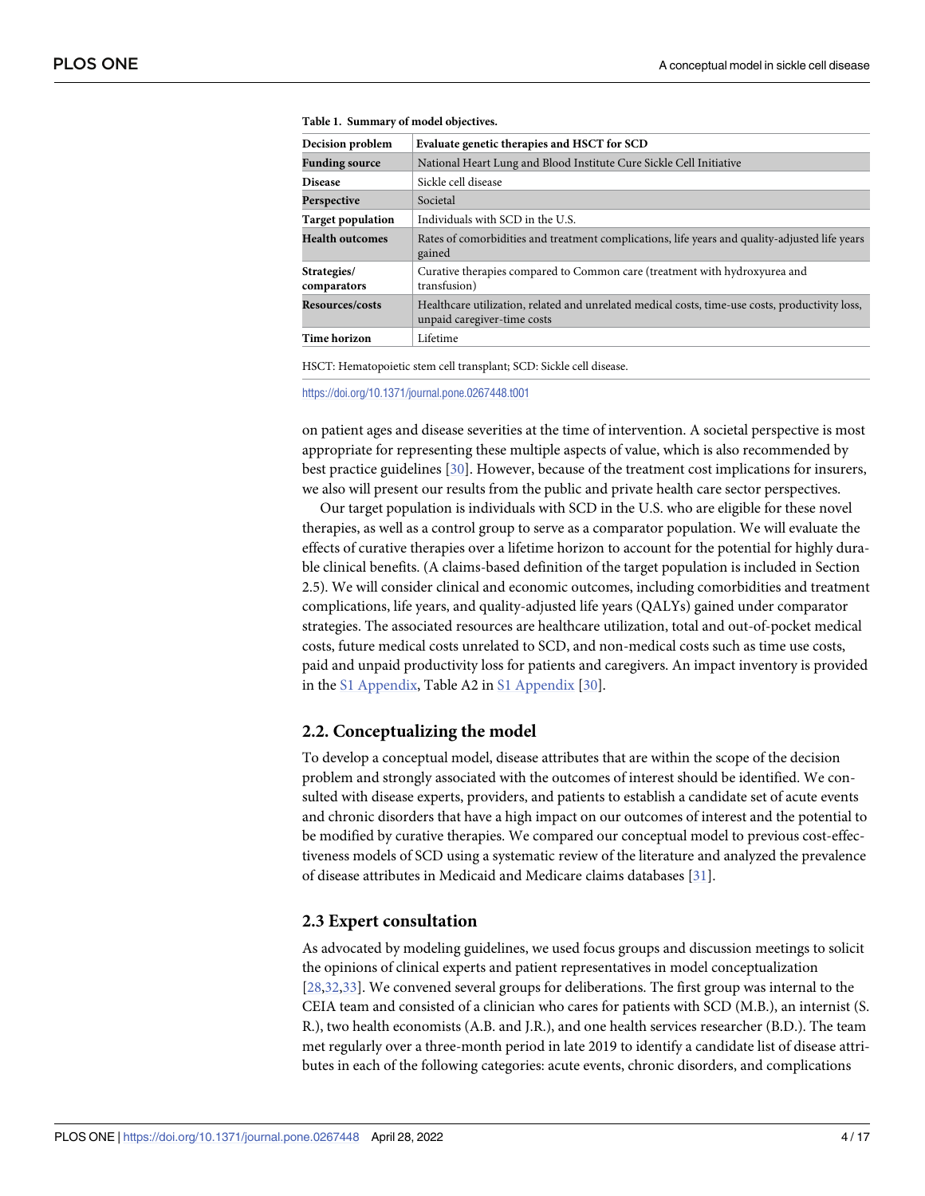| Decision problem           | Evaluate genetic therapies and HSCT for SCD                                                                                    |
|----------------------------|--------------------------------------------------------------------------------------------------------------------------------|
| <b>Funding source</b>      | National Heart Lung and Blood Institute Cure Sickle Cell Initiative                                                            |
| <b>Disease</b>             | Sickle cell disease                                                                                                            |
| Perspective                | Societal                                                                                                                       |
| <b>Target population</b>   | Individuals with SCD in the U.S.                                                                                               |
| <b>Health outcomes</b>     | Rates of comorbidities and treatment complications, life years and quality-adjusted life years<br>gained                       |
| Strategies/<br>comparators | Curative therapies compared to Common care (treatment with hydroxyurea and<br>transfusion)                                     |
| Resources/costs            | Healthcare utilization, related and unrelated medical costs, time-use costs, productivity loss,<br>unpaid caregiver-time costs |
| <b>Time horizon</b>        | Lifetime                                                                                                                       |

<span id="page-3-0"></span>

|  | Table 1. Summary of model objectives. |  |  |
|--|---------------------------------------|--|--|
|--|---------------------------------------|--|--|

HSCT: Hematopoietic stem cell transplant; SCD: Sickle cell disease.

<https://doi.org/10.1371/journal.pone.0267448.t001>

on patient ages and disease severities at the time of intervention. A societal perspective is most appropriate for representing these multiple aspects of value, which is also recommended by best practice guidelines [\[30\]](#page-14-0). However, because of the treatment cost implications for insurers, we also will present our results from the public and private health care sector perspectives.

Our target population is individuals with SCD in the U.S. who are eligible for these novel therapies, as well as a control group to serve as a comparator population. We will evaluate the effects of curative therapies over a lifetime horizon to account for the potential for highly durable clinical benefits. (A claims-based definition of the target population is included in Section 2.5). We will consider clinical and economic outcomes, including comorbidities and treatment complications, life years, and quality-adjusted life years (QALYs) gained under comparator strategies. The associated resources are healthcare utilization, total and out-of-pocket medical costs, future medical costs unrelated to SCD, and non-medical costs such as time use costs, paid and unpaid productivity loss for patients and caregivers. An impact inventory is provided in the S1 [Appendix](#page-12-0), Table A2 in S1 [Appendix](#page-12-0) [\[30\]](#page-14-0).

#### **2.2. Conceptualizing the model**

To develop a conceptual model, disease attributes that are within the scope of the decision problem and strongly associated with the outcomes of interest should be identified. We consulted with disease experts, providers, and patients to establish a candidate set of acute events and chronic disorders that have a high impact on our outcomes of interest and the potential to be modified by curative therapies. We compared our conceptual model to previous cost-effectiveness models of SCD using a systematic review of the literature and analyzed the prevalence of disease attributes in Medicaid and Medicare claims databases [[31](#page-15-0)].

#### **2.3 Expert consultation**

As advocated by modeling guidelines, we used focus groups and discussion meetings to solicit the opinions of clinical experts and patient representatives in model conceptualization [\[28](#page-14-0)[,32,33](#page-15-0)]. We convened several groups for deliberations. The first group was internal to the CEIA team and consisted of a clinician who cares for patients with SCD (M.B.), an internist (S. R.), two health economists (A.B. and J.R.), and one health services researcher (B.D.). The team met regularly over a three-month period in late 2019 to identify a candidate list of disease attributes in each of the following categories: acute events, chronic disorders, and complications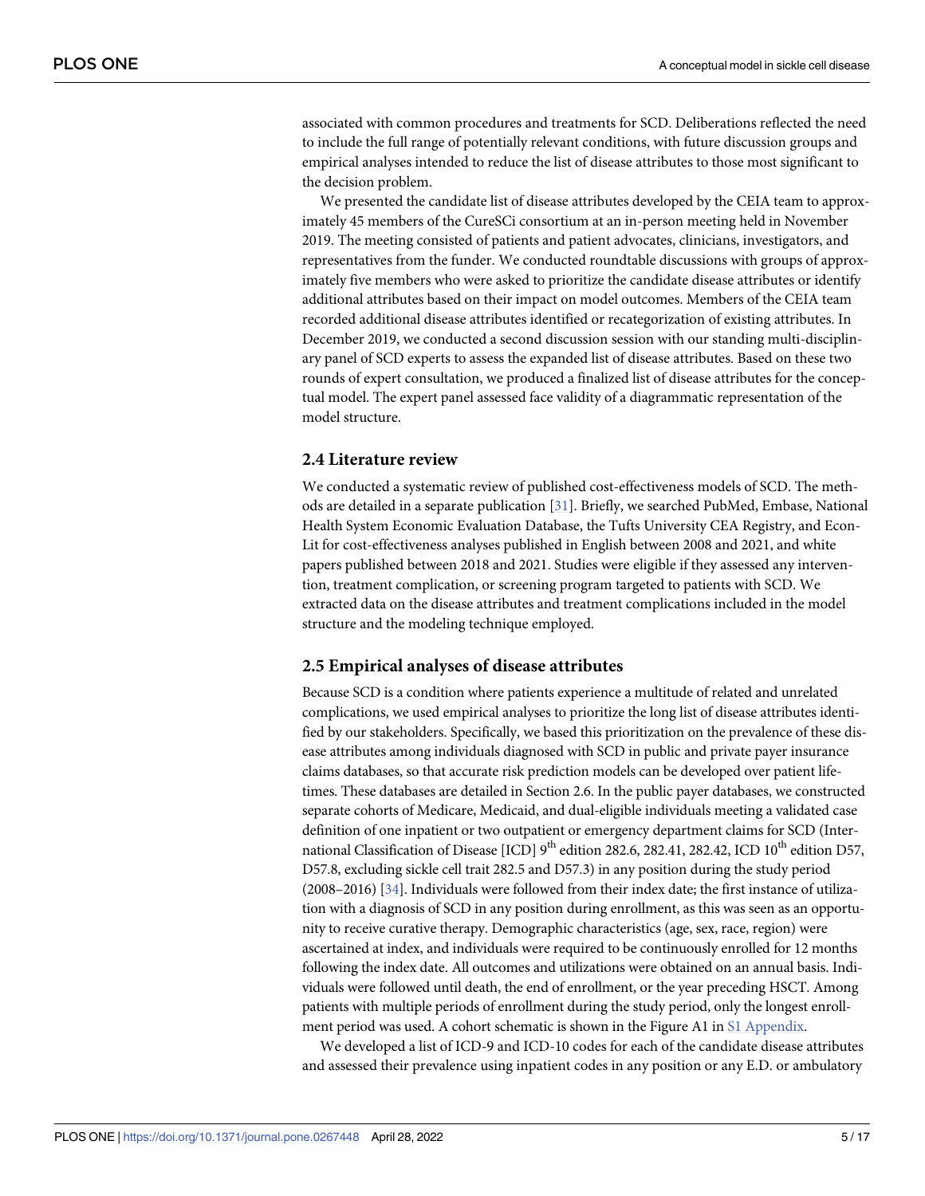<span id="page-4-0"></span>associated with common procedures and treatments for SCD. Deliberations reflected the need to include the full range of potentially relevant conditions, with future discussion groups and empirical analyses intended to reduce the list of disease attributes to those most significant to the decision problem.

We presented the candidate list of disease attributes developed by the CEIA team to approximately 45 members of the CureSCi consortium at an in-person meeting held in November 2019. The meeting consisted of patients and patient advocates, clinicians, investigators, and representatives from the funder. We conducted roundtable discussions with groups of approximately five members who were asked to prioritize the candidate disease attributes or identify additional attributes based on their impact on model outcomes. Members of the CEIA team recorded additional disease attributes identified or recategorization of existing attributes. In December 2019, we conducted a second discussion session with our standing multi-disciplinary panel of SCD experts to assess the expanded list of disease attributes. Based on these two rounds of expert consultation, we produced a finalized list of disease attributes for the conceptual model. The expert panel assessed face validity of a diagrammatic representation of the model structure.

#### **2.4 Literature review**

We conducted a systematic review of published cost-effectiveness models of SCD. The methods are detailed in a separate publication [\[31\]](#page-15-0). Briefly, we searched PubMed, Embase, National Health System Economic Evaluation Database, the Tufts University CEA Registry, and Econ-Lit for cost-effectiveness analyses published in English between 2008 and 2021, and white papers published between 2018 and 2021. Studies were eligible if they assessed any intervention, treatment complication, or screening program targeted to patients with SCD. We extracted data on the disease attributes and treatment complications included in the model structure and the modeling technique employed.

#### **2.5 Empirical analyses of disease attributes**

Because SCD is a condition where patients experience a multitude of related and unrelated complications, we used empirical analyses to prioritize the long list of disease attributes identified by our stakeholders. Specifically, we based this prioritization on the prevalence of these disease attributes among individuals diagnosed with SCD in public and private payer insurance claims databases, so that accurate risk prediction models can be developed over patient lifetimes. These databases are detailed in Section 2.6. In the public payer databases, we constructed separate cohorts of Medicare, Medicaid, and dual-eligible individuals meeting a validated case definition of one inpatient or two outpatient or emergency department claims for SCD (International Classification of Disease [ICD]  $9^{th}$  edition 282.6, 282.41, 282.42, ICD  $10^{th}$  edition D57, D57.8, excluding sickle cell trait 282.5 and D57.3) in any position during the study period (2008–2016) [[34](#page-15-0)]. Individuals were followed from their index date; the first instance of utilization with a diagnosis of SCD in any position during enrollment, as this was seen as an opportunity to receive curative therapy. Demographic characteristics (age, sex, race, region) were ascertained at index, and individuals were required to be continuously enrolled for 12 months following the index date. All outcomes and utilizations were obtained on an annual basis. Individuals were followed until death, the end of enrollment, or the year preceding HSCT. Among patients with multiple periods of enrollment during the study period, only the longest enrollment period was used. A cohort schematic is shown in the Figure A1 in S1 [Appendix](#page-12-0).

We developed a list of ICD-9 and ICD-10 codes for each of the candidate disease attributes and assessed their prevalence using inpatient codes in any position or any E.D. or ambulatory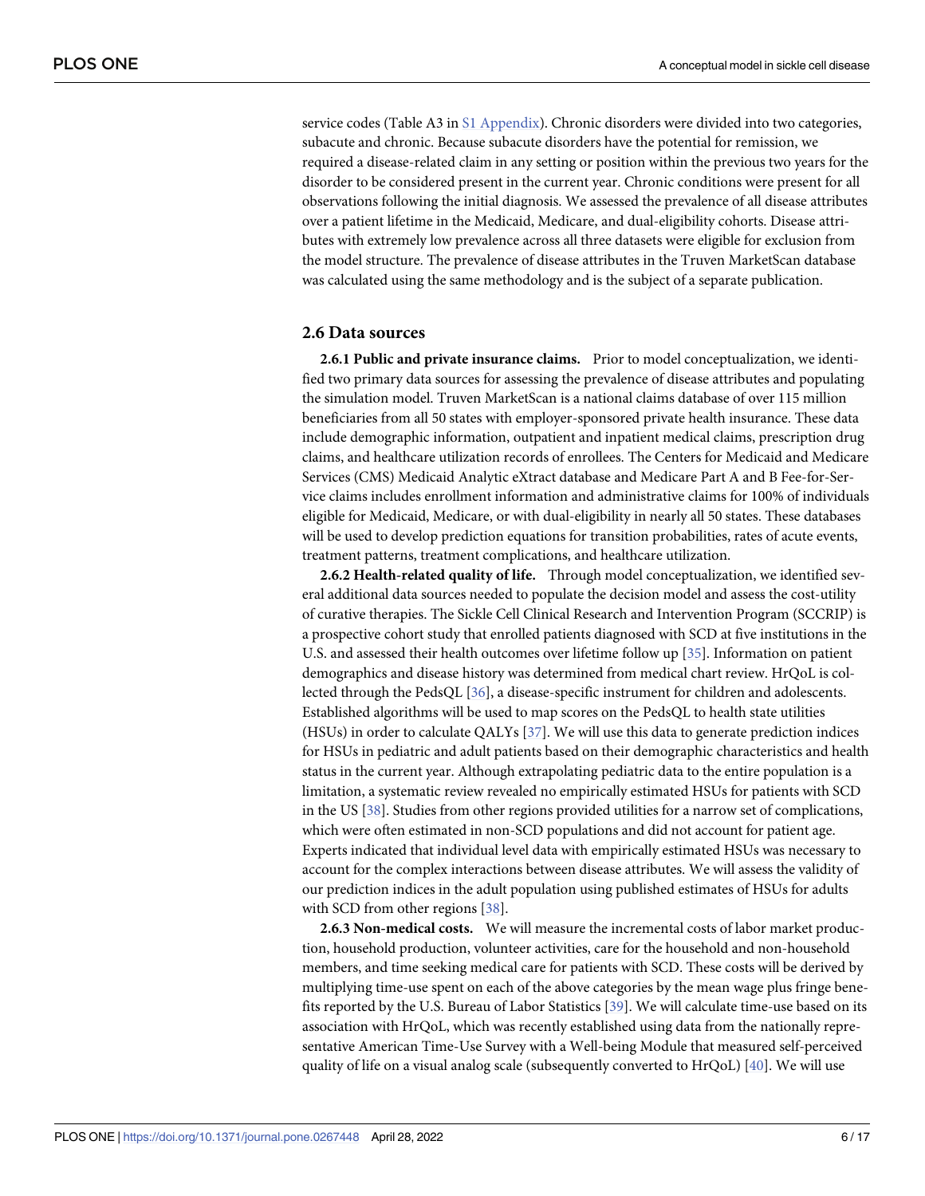<span id="page-5-0"></span>service codes (Table A3 in S1 [Appendix](#page-12-0)). Chronic disorders were divided into two categories, subacute and chronic. Because subacute disorders have the potential for remission, we required a disease-related claim in any setting or position within the previous two years for the disorder to be considered present in the current year. Chronic conditions were present for all observations following the initial diagnosis. We assessed the prevalence of all disease attributes over a patient lifetime in the Medicaid, Medicare, and dual-eligibility cohorts. Disease attributes with extremely low prevalence across all three datasets were eligible for exclusion from the model structure. The prevalence of disease attributes in the Truven MarketScan database was calculated using the same methodology and is the subject of a separate publication.

#### **2.6 Data sources**

**2.6.1 Public and private insurance claims.** Prior to model conceptualization, we identified two primary data sources for assessing the prevalence of disease attributes and populating the simulation model. Truven MarketScan is a national claims database of over 115 million beneficiaries from all 50 states with employer-sponsored private health insurance. These data include demographic information, outpatient and inpatient medical claims, prescription drug claims, and healthcare utilization records of enrollees. The Centers for Medicaid and Medicare Services (CMS) Medicaid Analytic eXtract database and Medicare Part A and B Fee-for-Service claims includes enrollment information and administrative claims for 100% of individuals eligible for Medicaid, Medicare, or with dual-eligibility in nearly all 50 states. These databases will be used to develop prediction equations for transition probabilities, rates of acute events, treatment patterns, treatment complications, and healthcare utilization.

**2.6.2 Health-related quality of life.** Through model conceptualization, we identified several additional data sources needed to populate the decision model and assess the cost-utility of curative therapies. The Sickle Cell Clinical Research and Intervention Program (SCCRIP) is a prospective cohort study that enrolled patients diagnosed with SCD at five institutions in the U.S. and assessed their health outcomes over lifetime follow up [[35](#page-15-0)]. Information on patient demographics and disease history was determined from medical chart review. HrQoL is collected through the PedsQL [[36](#page-15-0)], a disease-specific instrument for children and adolescents. Established algorithms will be used to map scores on the PedsQL to health state utilities (HSUs) in order to calculate QALYs [\[37\]](#page-15-0). We will use this data to generate prediction indices for HSUs in pediatric and adult patients based on their demographic characteristics and health status in the current year. Although extrapolating pediatric data to the entire population is a limitation, a systematic review revealed no empirically estimated HSUs for patients with SCD in the US [[38](#page-15-0)]. Studies from other regions provided utilities for a narrow set of complications, which were often estimated in non-SCD populations and did not account for patient age. Experts indicated that individual level data with empirically estimated HSUs was necessary to account for the complex interactions between disease attributes. We will assess the validity of our prediction indices in the adult population using published estimates of HSUs for adults with SCD from other regions [[38\]](#page-15-0).

**2.6.3 Non-medical costs.** We will measure the incremental costs of labor market production, household production, volunteer activities, care for the household and non-household members, and time seeking medical care for patients with SCD. These costs will be derived by multiplying time-use spent on each of the above categories by the mean wage plus fringe benefits reported by the U.S. Bureau of Labor Statistics [\[39\]](#page-15-0). We will calculate time-use based on its association with HrQoL, which was recently established using data from the nationally representative American Time-Use Survey with a Well-being Module that measured self-perceived quality of life on a visual analog scale (subsequently converted to HrQoL) [\[40\]](#page-15-0). We will use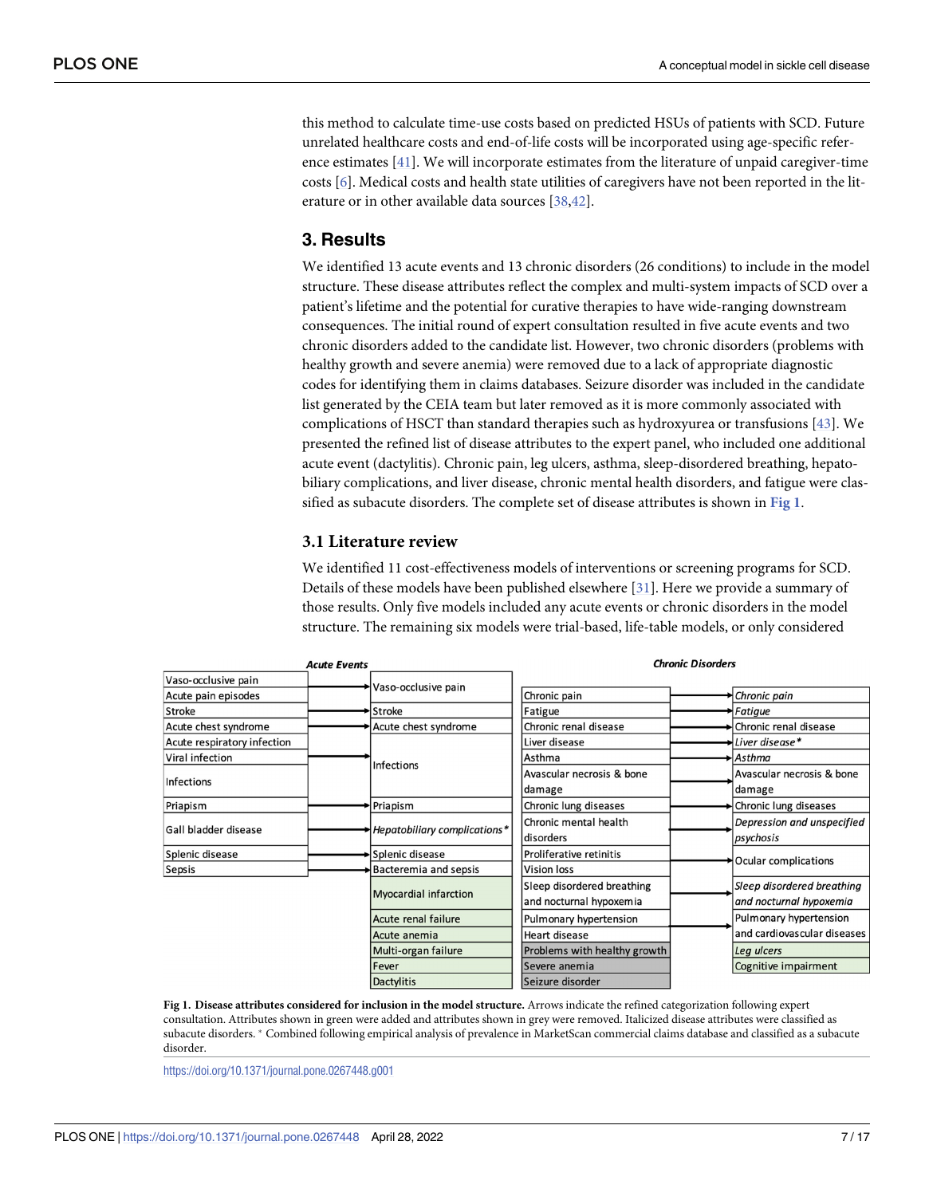<span id="page-6-0"></span>this method to calculate time-use costs based on predicted HSUs of patients with SCD. Future unrelated healthcare costs and end-of-life costs will be incorporated using age-specific reference estimates [[41](#page-15-0)]. We will incorporate estimates from the literature of unpaid caregiver-time costs [\[6\]](#page-13-0). Medical costs and health state utilities of caregivers have not been reported in the literature or in other available data sources [[38,42\]](#page-15-0).

## **3. Results**

We identified 13 acute events and 13 chronic disorders (26 conditions) to include in the model structure. These disease attributes reflect the complex and multi-system impacts of SCD over a patient's lifetime and the potential for curative therapies to have wide-ranging downstream consequences. The initial round of expert consultation resulted in five acute events and two chronic disorders added to the candidate list. However, two chronic disorders (problems with healthy growth and severe anemia) were removed due to a lack of appropriate diagnostic codes for identifying them in claims databases. Seizure disorder was included in the candidate list generated by the CEIA team but later removed as it is more commonly associated with complications of HSCT than standard therapies such as hydroxyurea or transfusions [[43](#page-15-0)]. We presented the refined list of disease attributes to the expert panel, who included one additional acute event (dactylitis). Chronic pain, leg ulcers, asthma, sleep-disordered breathing, hepatobiliary complications, and liver disease, chronic mental health disorders, and fatigue were classified as subacute disorders. The complete set of disease attributes is shown in **Fig 1**.

#### **3.1 Literature review**

We identified 11 cost-effectiveness models of interventions or screening programs for SCD. Details of these models have been published elsewhere [\[31\]](#page-15-0). Here we provide a summary of those results. Only five models included any acute events or chronic disorders in the model structure. The remaining six models were trial-based, life-table models, or only considered

|                             | <b>Acute Events</b> |                              |                              | <b>Chronic Disorders</b> |                             |
|-----------------------------|---------------------|------------------------------|------------------------------|--------------------------|-----------------------------|
| Vaso-occlusive pain         |                     | Vaso-occlusive pain          |                              |                          |                             |
| Acute pain episodes         |                     |                              | Chronic pain                 |                          | Chronic pain                |
| <b>Stroke</b>               |                     | Stroke                       | Fatigue                      |                          | Fatigue                     |
| Acute chest syndrome        |                     | Acute chest syndrome         | Chronic renal disease        |                          | Chronic renal disease       |
| Acute respiratory infection |                     | <b>Infections</b>            | Liver disease                |                          | Liver disease*              |
| Viral infection             |                     |                              | Asthma                       |                          | Asthma                      |
|                             |                     |                              | Avascular necrosis & bone    |                          | Avascular necrosis & bone   |
| <b>Infections</b>           |                     |                              | damage                       |                          | damage                      |
| Priapism                    |                     | Priapism                     | Chronic lung diseases        |                          | Chronic lung diseases       |
| <b>Gall bladder disease</b> |                     |                              | Chronic mental health        |                          | Depression and unspecified  |
|                             |                     | Hepatobiliary complications* | disorders                    |                          | psychosis                   |
| Splenic disease             |                     | Splenic disease              | Proliferative retinitis      |                          |                             |
| Sepsis                      |                     | Bacteremia and sepsis        | <b>Vision loss</b>           | Ocular complications     |                             |
|                             |                     |                              | Sleep disordered breathing   |                          | Sleep disordered breathing  |
|                             |                     | <b>Myocardial infarction</b> | and nocturnal hypoxemia      |                          | and nocturnal hypoxemia     |
|                             |                     | Acute renal failure          | Pulmonary hypertension       |                          | Pulmonary hypertension      |
|                             |                     | Acute anemia                 | Heart disease                |                          | and cardiovascular diseases |
|                             |                     | Multi-organ failure          | Problems with healthy growth |                          | Leg ulcers                  |
|                             |                     | Fever                        | Severe anemia                |                          | Cognitive impairment        |
|                             |                     | <b>Dactylitis</b>            | Seizure disorder             |                          |                             |

**Fig 1. Disease attributes considered for inclusion in the model structure.** Arrows indicate the refined categorization following expert consultation. Attributes shown in green were added and attributes shown in grey were removed. Italicized disease attributes were classified as subacute disorders. � Combined following empirical analysis of prevalence in MarketScan commercial claims database and classified as a subacute disorder.

<https://doi.org/10.1371/journal.pone.0267448.g001>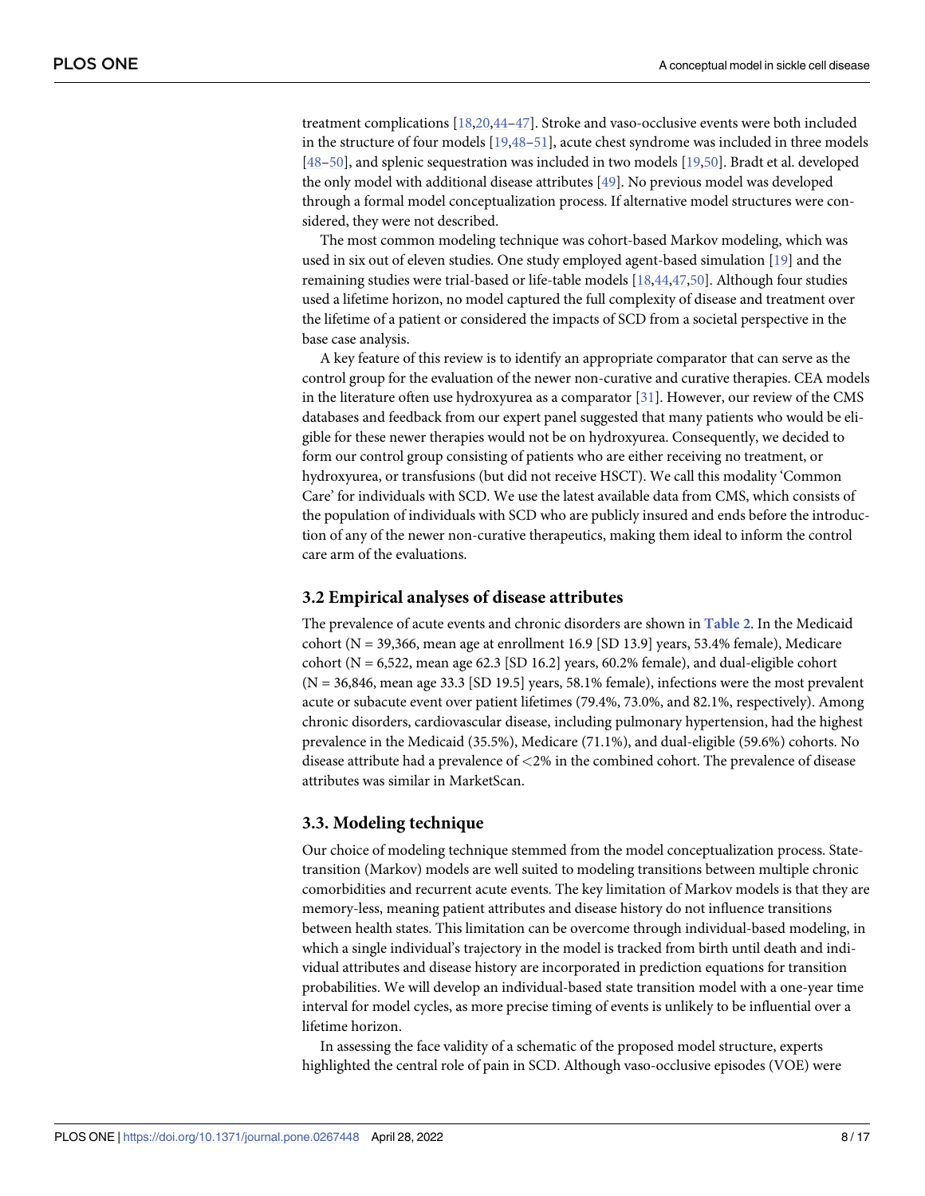<span id="page-7-0"></span>treatment complications [\[18,20](#page-14-0),[44–47\]](#page-15-0). Stroke and vaso-occlusive events were both included in the structure of four models [\[19,](#page-14-0)[48](#page-15-0)[–51\]](#page-16-0), acute chest syndrome was included in three models [\[48](#page-15-0)[–50\]](#page-16-0), and splenic sequestration was included in two models [\[19,](#page-14-0)[50\]](#page-16-0). Bradt et al. developed the only model with additional disease attributes [\[49\]](#page-15-0). No previous model was developed through a formal model conceptualization process. If alternative model structures were considered, they were not described.

The most common modeling technique was cohort-based Markov modeling, which was used in six out of eleven studies. One study employed agent-based simulation [\[19\]](#page-14-0) and the remaining studies were trial-based or life-table models [[18](#page-14-0)[,44,47,](#page-15-0)[50](#page-16-0)]. Although four studies used a lifetime horizon, no model captured the full complexity of disease and treatment over the lifetime of a patient or considered the impacts of SCD from a societal perspective in the base case analysis.

A key feature of this review is to identify an appropriate comparator that can serve as the control group for the evaluation of the newer non-curative and curative therapies. CEA models in the literature often use hydroxyurea as a comparator [\[31\]](#page-15-0). However, our review of the CMS databases and feedback from our expert panel suggested that many patients who would be eligible for these newer therapies would not be on hydroxyurea. Consequently, we decided to form our control group consisting of patients who are either receiving no treatment, or hydroxyurea, or transfusions (but did not receive HSCT). We call this modality 'Common Care' for individuals with SCD. We use the latest available data from CMS, which consists of the population of individuals with SCD who are publicly insured and ends before the introduction of any of the newer non-curative therapeutics, making them ideal to inform the control care arm of the evaluations.

#### **3.2 Empirical analyses of disease attributes**

The prevalence of acute events and chronic disorders are shown in **[Table](#page-8-0) 2**. In the Medicaid cohort ( $N = 39,366$ , mean age at enrollment 16.9 [SD 13.9] years, 53.4% female), Medicare cohort ( $N = 6,522$ , mean age 62.3 [SD 16.2] years, 60.2% female), and dual-eligible cohort  $(N = 36,846,$  mean age 33.3 [SD 19.5] years, 58.1% female), infections were the most prevalent acute or subacute event over patient lifetimes (79.4%, 73.0%, and 82.1%, respectively). Among chronic disorders, cardiovascular disease, including pulmonary hypertension, had the highest prevalence in the Medicaid (35.5%), Medicare (71.1%), and dual-eligible (59.6%) cohorts. No disease attribute had a prevalence of *<*2% in the combined cohort. The prevalence of disease attributes was similar in MarketScan.

#### **3.3. Modeling technique**

Our choice of modeling technique stemmed from the model conceptualization process. Statetransition (Markov) models are well suited to modeling transitions between multiple chronic comorbidities and recurrent acute events. The key limitation of Markov models is that they are memory-less, meaning patient attributes and disease history do not influence transitions between health states. This limitation can be overcome through individual-based modeling, in which a single individual's trajectory in the model is tracked from birth until death and individual attributes and disease history are incorporated in prediction equations for transition probabilities. We will develop an individual-based state transition model with a one-year time interval for model cycles, as more precise timing of events is unlikely to be influential over a lifetime horizon.

In assessing the face validity of a schematic of the proposed model structure, experts highlighted the central role of pain in SCD. Although vaso-occlusive episodes (VOE) were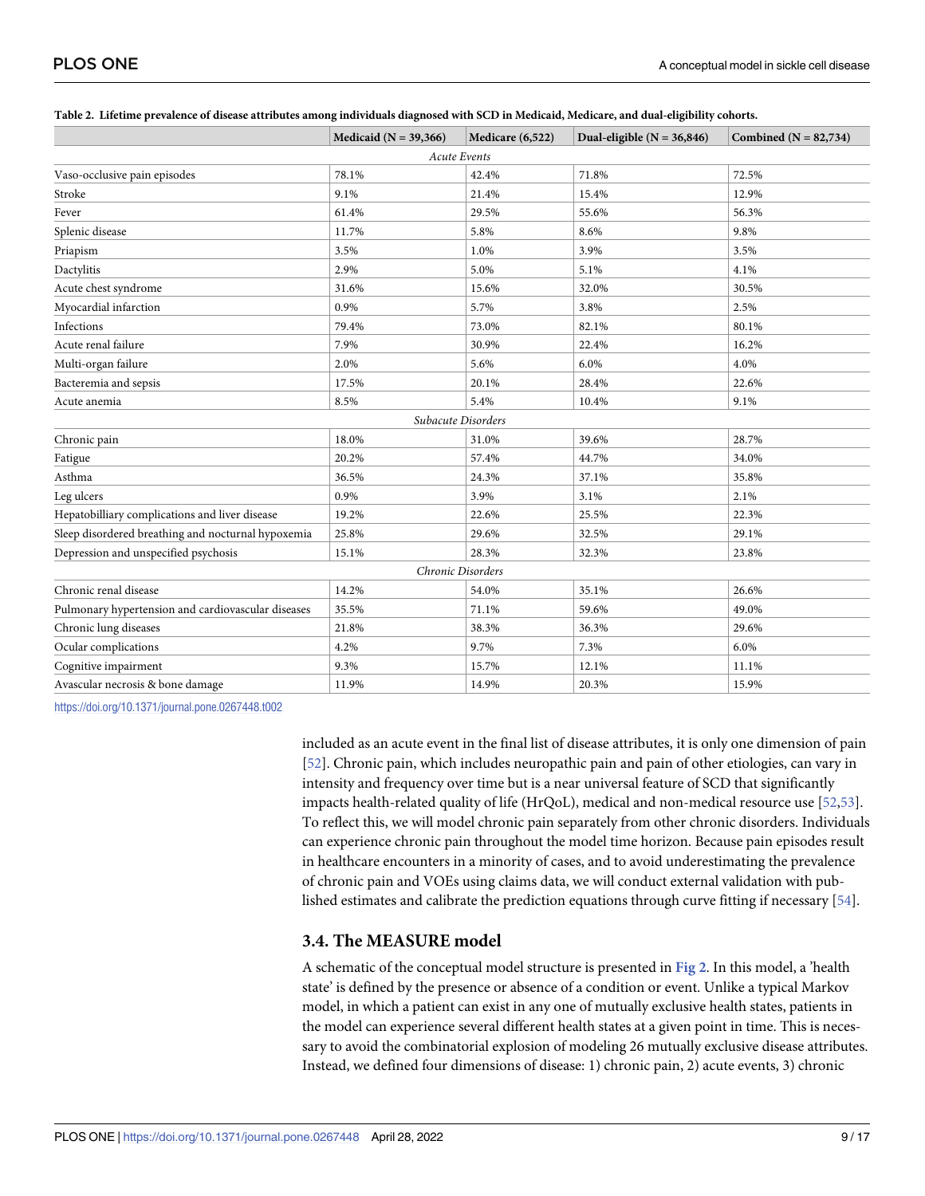|                                                    | Medicaid ( $N = 39,366$ ) | Medicare (6,522)    | Dual-eligible ( $N = 36,846$ ) | Combined ( $N = 82,734$ ) |
|----------------------------------------------------|---------------------------|---------------------|--------------------------------|---------------------------|
|                                                    |                           | <b>Acute Events</b> |                                |                           |
| Vaso-occlusive pain episodes                       | 78.1%                     | 42.4%               | 71.8%                          | 72.5%                     |
| Stroke                                             | 9.1%                      | 21.4%               | 15.4%                          | 12.9%                     |
| Fever                                              | 61.4%                     | 29.5%               | 55.6%                          | 56.3%                     |
| Splenic disease                                    | 11.7%                     | 5.8%                | 8.6%                           | 9.8%                      |
| Priapism                                           | 3.5%                      | 1.0%                | 3.9%                           | 3.5%                      |
| Dactylitis                                         | 2.9%                      | 5.0%                | 5.1%                           | 4.1%                      |
| Acute chest syndrome                               | 31.6%                     | 15.6%               | 32.0%                          | 30.5%                     |
| Myocardial infarction                              | 0.9%                      | 5.7%                | 3.8%                           | 2.5%                      |
| Infections                                         | 79.4%                     | 73.0%               | 82.1%                          | 80.1%                     |
| Acute renal failure                                | 7.9%                      | 30.9%               | 22.4%                          | 16.2%                     |
| Multi-organ failure                                | 2.0%                      | 5.6%                | 6.0%                           | 4.0%                      |
| Bacteremia and sepsis                              | 17.5%                     | 20.1%               | 28.4%                          | 22.6%                     |
| Acute anemia                                       | 8.5%                      | 5.4%                | 10.4%                          | 9.1%                      |
|                                                    |                           | Subacute Disorders  |                                |                           |
| Chronic pain                                       | 18.0%                     | 31.0%               | 39.6%                          | 28.7%                     |
| Fatigue                                            | 20.2%                     | 57.4%               | 44.7%                          | 34.0%                     |
| Asthma                                             | 36.5%                     | 24.3%               | 37.1%                          | 35.8%                     |
| Leg ulcers                                         | 0.9%                      | 3.9%                | 3.1%                           | 2.1%                      |
| Hepatobilliary complications and liver disease     | 19.2%                     | 22.6%               | 25.5%                          | 22.3%                     |
| Sleep disordered breathing and nocturnal hypoxemia | 25.8%                     | 29.6%               | 32.5%                          | 29.1%                     |
| Depression and unspecified psychosis               | 15.1%                     | 28.3%               | 32.3%                          | 23.8%                     |
|                                                    |                           | Chronic Disorders   |                                |                           |
| Chronic renal disease                              | 14.2%                     | 54.0%               | 35.1%                          | 26.6%                     |
| Pulmonary hypertension and cardiovascular diseases | 35.5%                     | 71.1%               | 59.6%                          | 49.0%                     |
| Chronic lung diseases                              | 21.8%                     | 38.3%               | 36.3%                          | 29.6%                     |
| Ocular complications                               | 4.2%                      | 9.7%                | 7.3%                           | 6.0%                      |
| Cognitive impairment                               | 9.3%                      | 15.7%               | 12.1%                          | 11.1%                     |
| Avascular necrosis & bone damage                   | 11.9%                     | 14.9%               | 20.3%                          | 15.9%                     |

#### <span id="page-8-0"></span>[Table](#page-7-0) 2. Lifetime prevalence of disease attributes among individuals diagnosed with SCD in Medicaid, Medicare, and dual-eligibility cohorts.

<https://doi.org/10.1371/journal.pone.0267448.t002>

included as an acute event in the final list of disease attributes, it is only one dimension of pain [\[52\]](#page-16-0). Chronic pain, which includes neuropathic pain and pain of other etiologies, can vary in intensity and frequency over time but is a near universal feature of SCD that significantly impacts health-related quality of life (HrQoL), medical and non-medical resource use [[52,53\]](#page-16-0). To reflect this, we will model chronic pain separately from other chronic disorders. Individuals can experience chronic pain throughout the model time horizon. Because pain episodes result in healthcare encounters in a minority of cases, and to avoid underestimating the prevalence of chronic pain and VOEs using claims data, we will conduct external validation with published estimates and calibrate the prediction equations through curve fitting if necessary [\[54\]](#page-16-0).

#### **3.4. The MEASURE model**

A schematic of the conceptual model structure is presented in **[Fig](#page-9-0) 2**. In this model, a 'health state' is defined by the presence or absence of a condition or event. Unlike a typical Markov model, in which a patient can exist in any one of mutually exclusive health states, patients in the model can experience several different health states at a given point in time. This is necessary to avoid the combinatorial explosion of modeling 26 mutually exclusive disease attributes. Instead, we defined four dimensions of disease: 1) chronic pain, 2) acute events, 3) chronic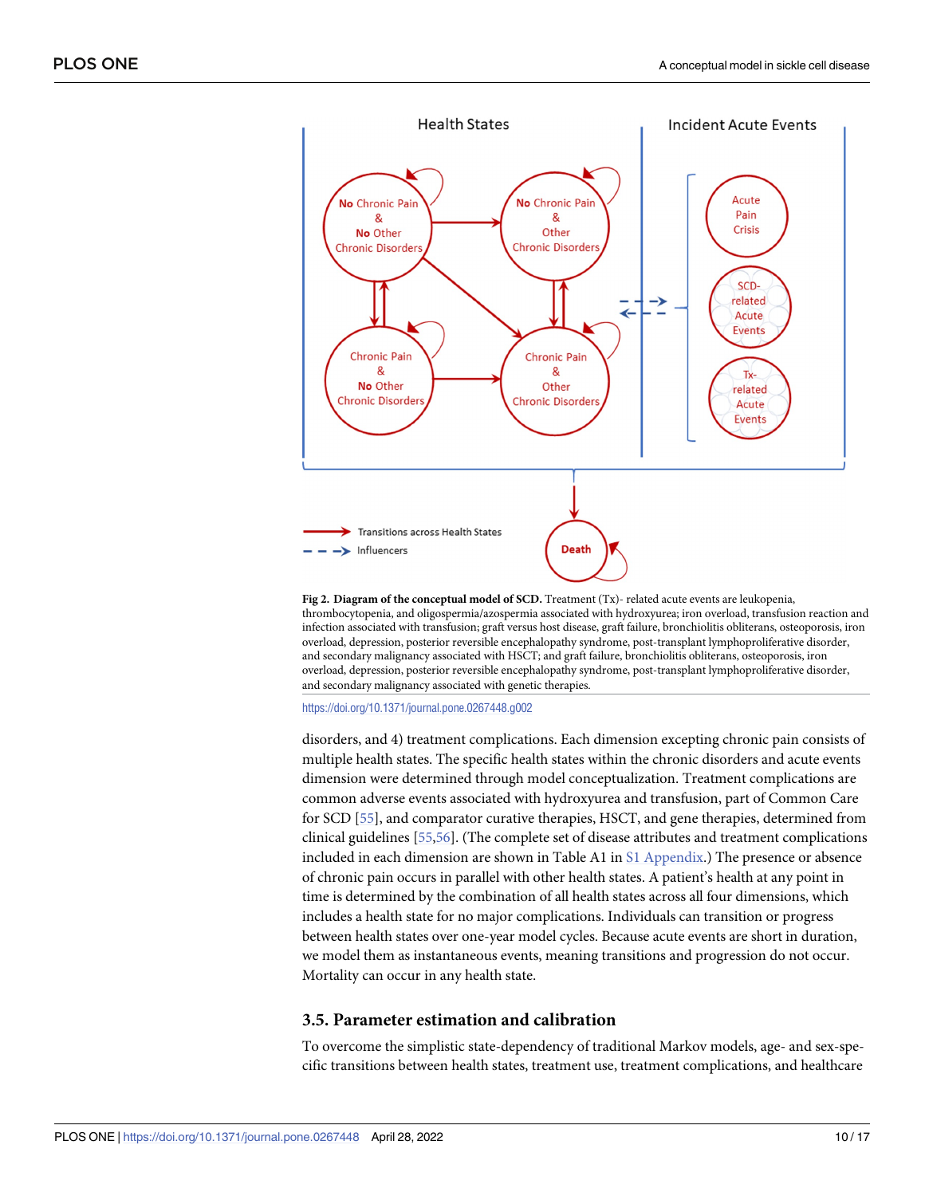<span id="page-9-0"></span>

**[Fig](#page-8-0) 2. Diagram of the conceptual model of SCD.** Treatment (Tx)- related acute events are leukopenia, thrombocytopenia, and oligospermia/azospermia associated with hydroxyurea; iron overload, transfusion reaction and infection associated with transfusion; graft versus host disease, graft failure, bronchiolitis obliterans, osteoporosis, iron overload, depression, posterior reversible encephalopathy syndrome, post-transplant lymphoproliferative disorder, and secondary malignancy associated with HSCT; and graft failure, bronchiolitis obliterans, osteoporosis, iron overload, depression, posterior reversible encephalopathy syndrome, post-transplant lymphoproliferative disorder, and secondary malignancy associated with genetic therapies.

<https://doi.org/10.1371/journal.pone.0267448.g002>

disorders, and 4) treatment complications. Each dimension excepting chronic pain consists of multiple health states. The specific health states within the chronic disorders and acute events dimension were determined through model conceptualization. Treatment complications are common adverse events associated with hydroxyurea and transfusion, part of Common Care for SCD [\[55\]](#page-16-0), and comparator curative therapies, HSCT, and gene therapies, determined from clinical guidelines [[55](#page-16-0),[56](#page-16-0)]. (The complete set of disease attributes and treatment complications included in each dimension are shown in Table A1 in S1 [Appendix.](#page-12-0)) The presence or absence of chronic pain occurs in parallel with other health states. A patient's health at any point in time is determined by the combination of all health states across all four dimensions, which includes a health state for no major complications. Individuals can transition or progress between health states over one-year model cycles. Because acute events are short in duration, we model them as instantaneous events, meaning transitions and progression do not occur. Mortality can occur in any health state.

#### **3.5. Parameter estimation and calibration**

To overcome the simplistic state-dependency of traditional Markov models, age- and sex-specific transitions between health states, treatment use, treatment complications, and healthcare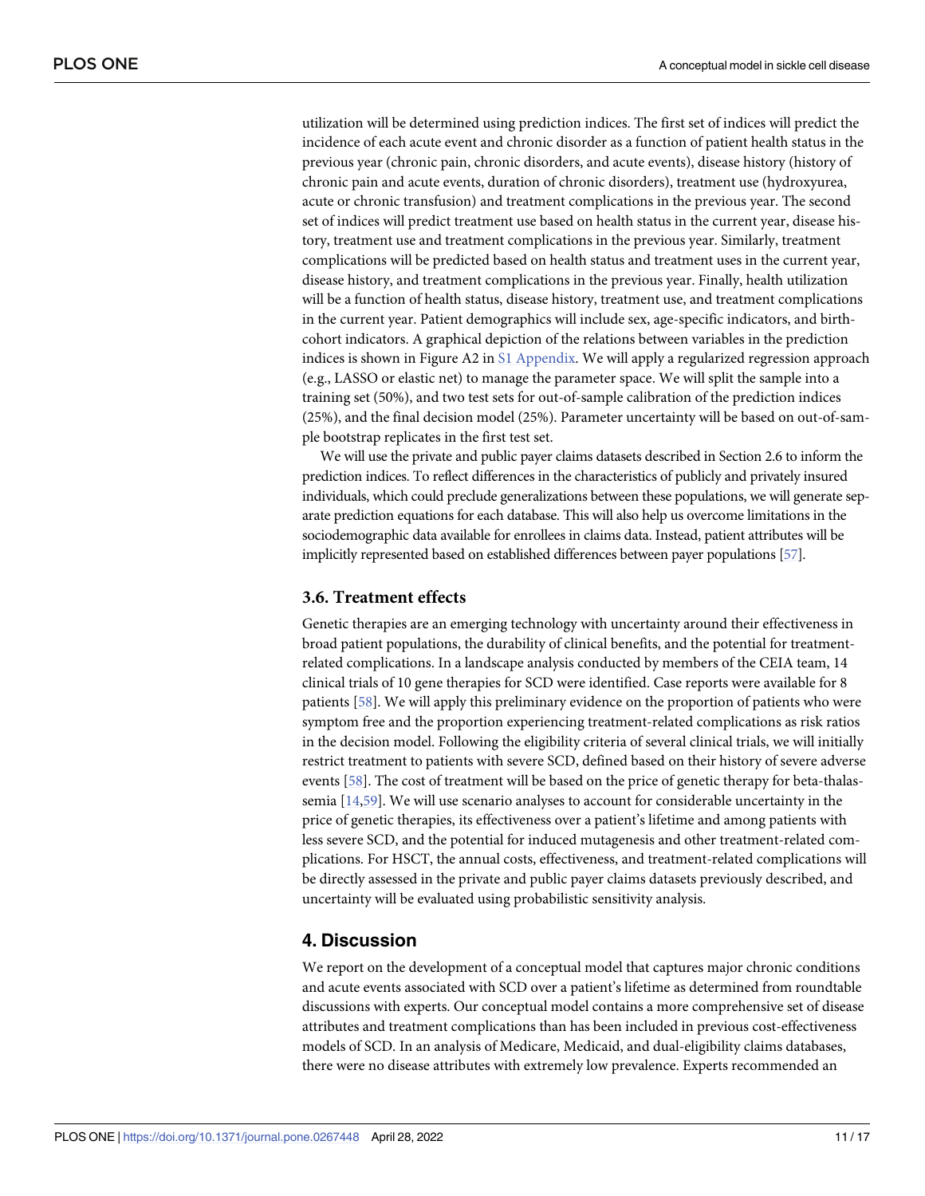<span id="page-10-0"></span>utilization will be determined using prediction indices. The first set of indices will predict the incidence of each acute event and chronic disorder as a function of patient health status in the previous year (chronic pain, chronic disorders, and acute events), disease history (history of chronic pain and acute events, duration of chronic disorders), treatment use (hydroxyurea, acute or chronic transfusion) and treatment complications in the previous year. The second set of indices will predict treatment use based on health status in the current year, disease history, treatment use and treatment complications in the previous year. Similarly, treatment complications will be predicted based on health status and treatment uses in the current year, disease history, and treatment complications in the previous year. Finally, health utilization will be a function of health status, disease history, treatment use, and treatment complications in the current year. Patient demographics will include sex, age-specific indicators, and birthcohort indicators. A graphical depiction of the relations between variables in the prediction indices is shown in Figure A2 in S1 [Appendix.](#page-12-0) We will apply a regularized regression approach (e.g., LASSO or elastic net) to manage the parameter space. We will split the sample into a training set (50%), and two test sets for out-of-sample calibration of the prediction indices (25%), and the final decision model (25%). Parameter uncertainty will be based on out-of-sample bootstrap replicates in the first test set.

We will use the private and public payer claims datasets described in Section 2.6 to inform the prediction indices. To reflect differences in the characteristics of publicly and privately insured individuals, which could preclude generalizations between these populations, we will generate separate prediction equations for each database. This will also help us overcome limitations in the sociodemographic data available for enrollees in claims data. Instead, patient attributes will be implicitly represented based on established differences between payer populations [\[57](#page-16-0)].

#### **3.6. Treatment effects**

Genetic therapies are an emerging technology with uncertainty around their effectiveness in broad patient populations, the durability of clinical benefits, and the potential for treatmentrelated complications. In a landscape analysis conducted by members of the CEIA team, 14 clinical trials of 10 gene therapies for SCD were identified. Case reports were available for 8 patients [\[58\]](#page-16-0). We will apply this preliminary evidence on the proportion of patients who were symptom free and the proportion experiencing treatment-related complications as risk ratios in the decision model. Following the eligibility criteria of several clinical trials, we will initially restrict treatment to patients with severe SCD, defined based on their history of severe adverse events [[58](#page-16-0)]. The cost of treatment will be based on the price of genetic therapy for beta-thalassemia [[14](#page-14-0)[,59\]](#page-16-0). We will use scenario analyses to account for considerable uncertainty in the price of genetic therapies, its effectiveness over a patient's lifetime and among patients with less severe SCD, and the potential for induced mutagenesis and other treatment-related complications. For HSCT, the annual costs, effectiveness, and treatment-related complications will be directly assessed in the private and public payer claims datasets previously described, and uncertainty will be evaluated using probabilistic sensitivity analysis.

## **4. Discussion**

We report on the development of a conceptual model that captures major chronic conditions and acute events associated with SCD over a patient's lifetime as determined from roundtable discussions with experts. Our conceptual model contains a more comprehensive set of disease attributes and treatment complications than has been included in previous cost-effectiveness models of SCD. In an analysis of Medicare, Medicaid, and dual-eligibility claims databases, there were no disease attributes with extremely low prevalence. Experts recommended an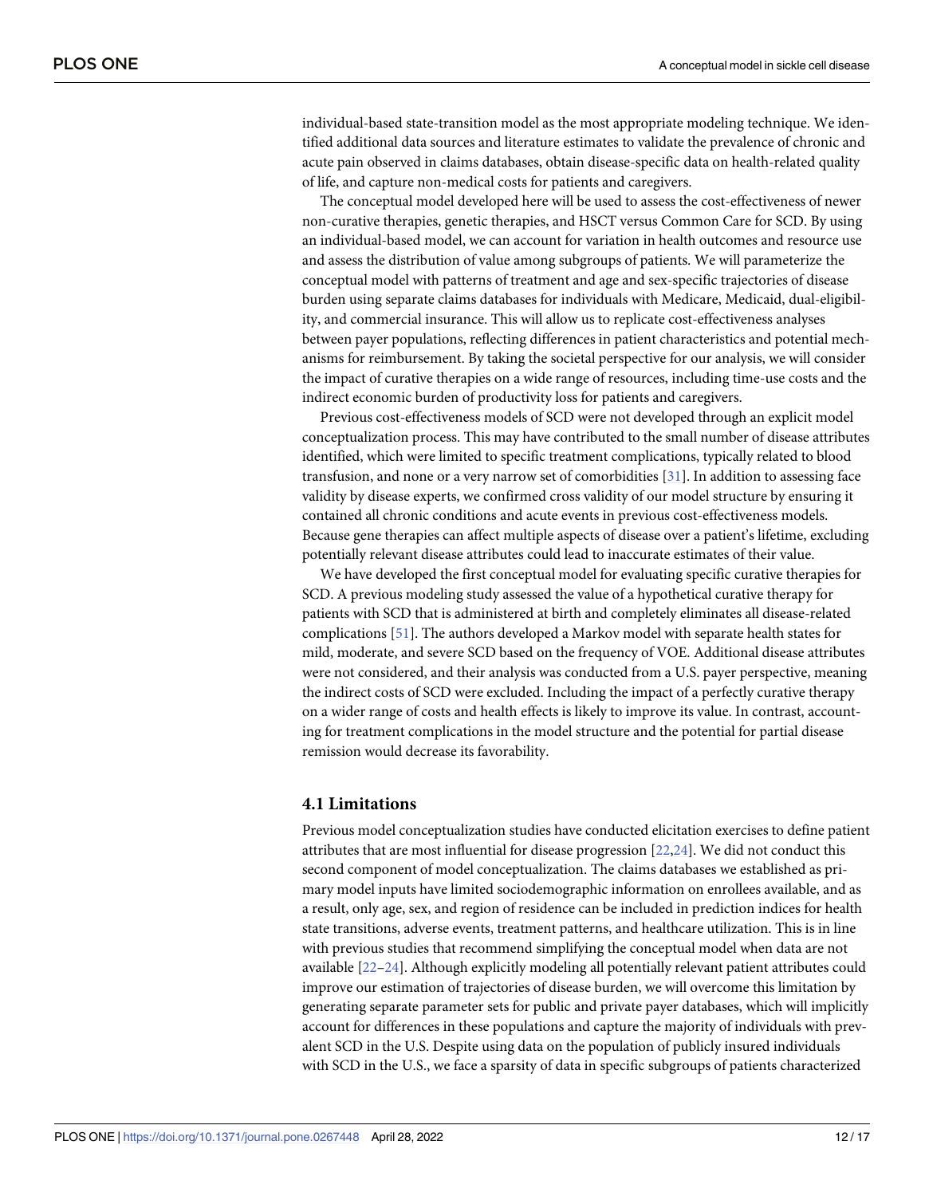<span id="page-11-0"></span>individual-based state-transition model as the most appropriate modeling technique. We identified additional data sources and literature estimates to validate the prevalence of chronic and acute pain observed in claims databases, obtain disease-specific data on health-related quality of life, and capture non-medical costs for patients and caregivers.

The conceptual model developed here will be used to assess the cost-effectiveness of newer non-curative therapies, genetic therapies, and HSCT versus Common Care for SCD. By using an individual-based model, we can account for variation in health outcomes and resource use and assess the distribution of value among subgroups of patients. We will parameterize the conceptual model with patterns of treatment and age and sex-specific trajectories of disease burden using separate claims databases for individuals with Medicare, Medicaid, dual-eligibility, and commercial insurance. This will allow us to replicate cost-effectiveness analyses between payer populations, reflecting differences in patient characteristics and potential mechanisms for reimbursement. By taking the societal perspective for our analysis, we will consider the impact of curative therapies on a wide range of resources, including time-use costs and the indirect economic burden of productivity loss for patients and caregivers.

Previous cost-effectiveness models of SCD were not developed through an explicit model conceptualization process. This may have contributed to the small number of disease attributes identified, which were limited to specific treatment complications, typically related to blood transfusion, and none or a very narrow set of comorbidities [[31](#page-15-0)]. In addition to assessing face validity by disease experts, we confirmed cross validity of our model structure by ensuring it contained all chronic conditions and acute events in previous cost-effectiveness models. Because gene therapies can affect multiple aspects of disease over a patient's lifetime, excluding potentially relevant disease attributes could lead to inaccurate estimates of their value.

We have developed the first conceptual model for evaluating specific curative therapies for SCD. A previous modeling study assessed the value of a hypothetical curative therapy for patients with SCD that is administered at birth and completely eliminates all disease-related complications [[51](#page-16-0)]. The authors developed a Markov model with separate health states for mild, moderate, and severe SCD based on the frequency of VOE. Additional disease attributes were not considered, and their analysis was conducted from a U.S. payer perspective, meaning the indirect costs of SCD were excluded. Including the impact of a perfectly curative therapy on a wider range of costs and health effects is likely to improve its value. In contrast, accounting for treatment complications in the model structure and the potential for partial disease remission would decrease its favorability.

#### **4.1 Limitations**

Previous model conceptualization studies have conducted elicitation exercises to define patient attributes that are most influential for disease progression [\[22,24](#page-14-0)]. We did not conduct this second component of model conceptualization. The claims databases we established as primary model inputs have limited sociodemographic information on enrollees available, and as a result, only age, sex, and region of residence can be included in prediction indices for health state transitions, adverse events, treatment patterns, and healthcare utilization. This is in line with previous studies that recommend simplifying the conceptual model when data are not available [\[22–24](#page-14-0)]. Although explicitly modeling all potentially relevant patient attributes could improve our estimation of trajectories of disease burden, we will overcome this limitation by generating separate parameter sets for public and private payer databases, which will implicitly account for differences in these populations and capture the majority of individuals with prevalent SCD in the U.S. Despite using data on the population of publicly insured individuals with SCD in the U.S., we face a sparsity of data in specific subgroups of patients characterized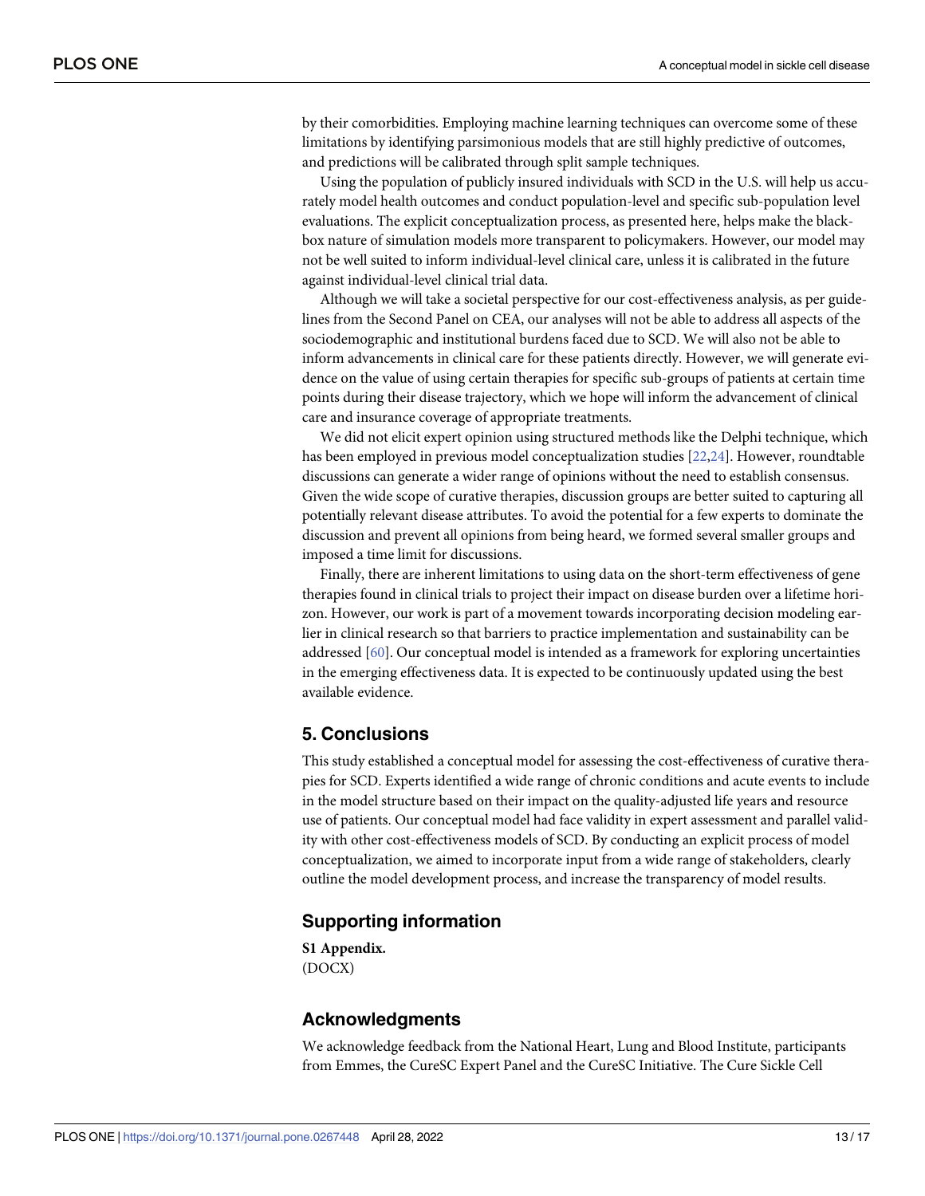<span id="page-12-0"></span>by their comorbidities. Employing machine learning techniques can overcome some of these limitations by identifying parsimonious models that are still highly predictive of outcomes, and predictions will be calibrated through split sample techniques.

Using the population of publicly insured individuals with SCD in the U.S. will help us accurately model health outcomes and conduct population-level and specific sub-population level evaluations. The explicit conceptualization process, as presented here, helps make the blackbox nature of simulation models more transparent to policymakers. However, our model may not be well suited to inform individual-level clinical care, unless it is calibrated in the future against individual-level clinical trial data.

Although we will take a societal perspective for our cost-effectiveness analysis, as per guidelines from the Second Panel on CEA, our analyses will not be able to address all aspects of the sociodemographic and institutional burdens faced due to SCD. We will also not be able to inform advancements in clinical care for these patients directly. However, we will generate evidence on the value of using certain therapies for specific sub-groups of patients at certain time points during their disease trajectory, which we hope will inform the advancement of clinical care and insurance coverage of appropriate treatments.

We did not elicit expert opinion using structured methods like the Delphi technique, which has been employed in previous model conceptualization studies [[22,24\]](#page-14-0). However, roundtable discussions can generate a wider range of opinions without the need to establish consensus. Given the wide scope of curative therapies, discussion groups are better suited to capturing all potentially relevant disease attributes. To avoid the potential for a few experts to dominate the discussion and prevent all opinions from being heard, we formed several smaller groups and imposed a time limit for discussions.

Finally, there are inherent limitations to using data on the short-term effectiveness of gene therapies found in clinical trials to project their impact on disease burden over a lifetime horizon. However, our work is part of a movement towards incorporating decision modeling earlier in clinical research so that barriers to practice implementation and sustainability can be addressed [\[60\]](#page-16-0). Our conceptual model is intended as a framework for exploring uncertainties in the emerging effectiveness data. It is expected to be continuously updated using the best available evidence.

## **5. Conclusions**

This study established a conceptual model for assessing the cost-effectiveness of curative therapies for SCD. Experts identified a wide range of chronic conditions and acute events to include in the model structure based on their impact on the quality-adjusted life years and resource use of patients. Our conceptual model had face validity in expert assessment and parallel validity with other cost-effectiveness models of SCD. By conducting an explicit process of model conceptualization, we aimed to incorporate input from a wide range of stakeholders, clearly outline the model development process, and increase the transparency of model results.

## **Supporting information**

**S1 [Appendix](http://www.plosone.org/article/fetchSingleRepresentation.action?uri=info:doi/10.1371/journal.pone.0267448.s001).** (DOCX)

### **Acknowledgments**

We acknowledge feedback from the National Heart, Lung and Blood Institute, participants from Emmes, the CureSC Expert Panel and the CureSC Initiative. The Cure Sickle Cell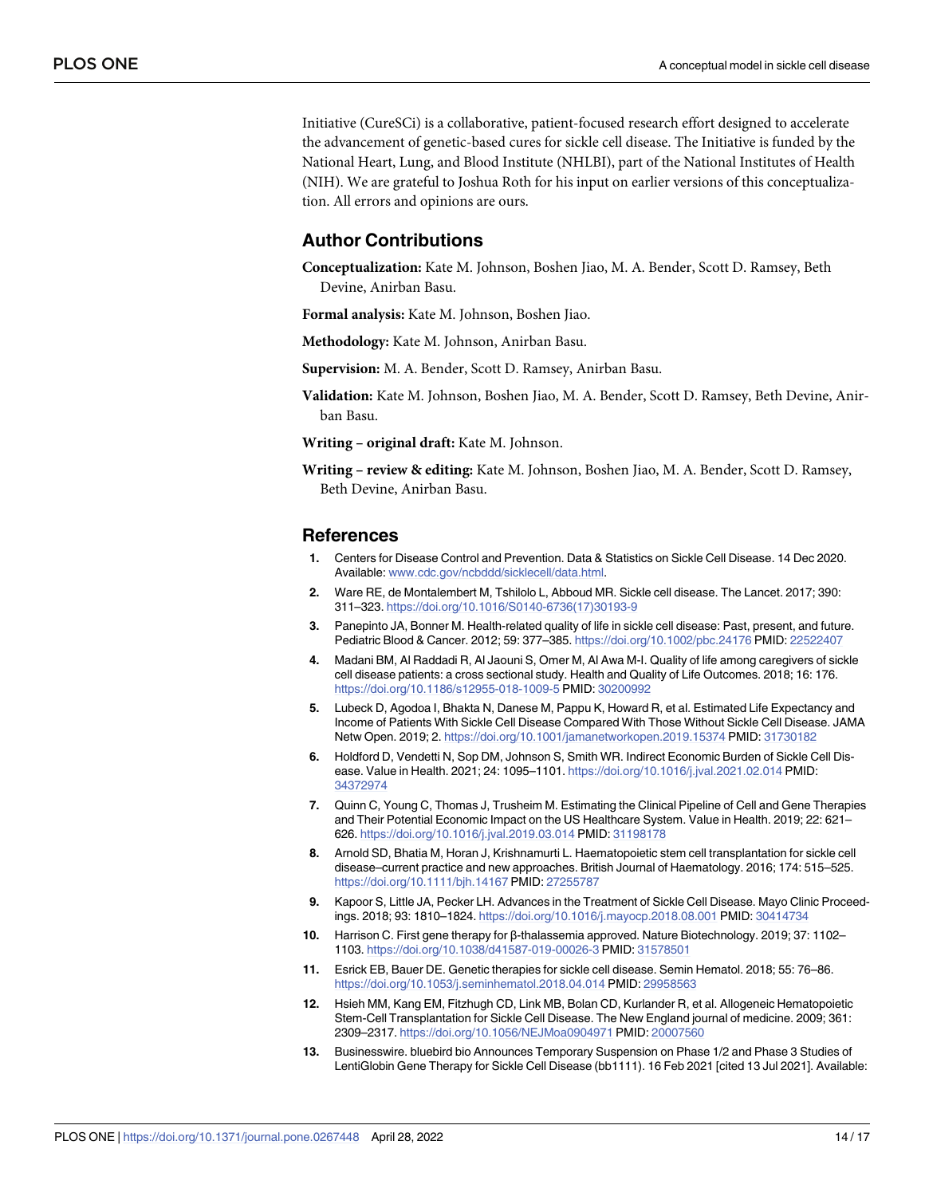<span id="page-13-0"></span>Initiative (CureSCi) is a collaborative, patient-focused research effort designed to accelerate the advancement of genetic-based cures for sickle cell disease. The Initiative is funded by the National Heart, Lung, and Blood Institute (NHLBI), part of the National Institutes of Health (NIH). We are grateful to Joshua Roth for his input on earlier versions of this conceptualization. All errors and opinions are ours.

## **Author Contributions**

**Conceptualization:** Kate M. Johnson, Boshen Jiao, M. A. Bender, Scott D. Ramsey, Beth Devine, Anirban Basu.

**Formal analysis:** Kate M. Johnson, Boshen Jiao.

**Methodology:** Kate M. Johnson, Anirban Basu.

**Supervision:** M. A. Bender, Scott D. Ramsey, Anirban Basu.

**Validation:** Kate M. Johnson, Boshen Jiao, M. A. Bender, Scott D. Ramsey, Beth Devine, Anirban Basu.

**Writing – original draft:** Kate M. Johnson.

**Writing – review & editing:** Kate M. Johnson, Boshen Jiao, M. A. Bender, Scott D. Ramsey, Beth Devine, Anirban Basu.

#### **References**

- **[1](#page-1-0).** Centers for Disease Control and Prevention. Data & Statistics on Sickle Cell Disease. 14 Dec 2020. Available: [www.cdc.gov/ncbddd/sicklecell/data.html.](http://www.cdc.gov/ncbddd/sicklecell/data.html)
- **[2](#page-1-0).** Ware RE, de Montalembert M, Tshilolo L, Abboud MR. Sickle cell disease. The Lancet. 2017; 390: 311–323. [https://doi.org/10.1016/S0140-6736\(17\)30193-9](https://doi.org/10.1016/S0140-6736%2817%2930193-9)
- **[3](#page-1-0).** Panepinto JA, Bonner M. Health-related quality of life in sickle cell disease: Past, present, and future. Pediatric Blood & Cancer. 2012; 59: 377–385. <https://doi.org/10.1002/pbc.24176> PMID: [22522407](http://www.ncbi.nlm.nih.gov/pubmed/22522407)
- **4.** Madani BM, Al Raddadi R, Al Jaouni S, Omer M, Al Awa M-I. Quality of life among caregivers of sickle cell disease patients: a cross sectional study. Health and Quality of Life Outcomes. 2018; 16: 176. <https://doi.org/10.1186/s12955-018-1009-5> PMID: [30200992](http://www.ncbi.nlm.nih.gov/pubmed/30200992)
- **5.** Lubeck D, Agodoa I, Bhakta N, Danese M, Pappu K, Howard R, et al. Estimated Life Expectancy and Income of Patients With Sickle Cell Disease Compared With Those Without Sickle Cell Disease. JAMA Netw Open. 2019; 2. <https://doi.org/10.1001/jamanetworkopen.2019.15374> PMID: [31730182](http://www.ncbi.nlm.nih.gov/pubmed/31730182)
- **[6](#page-6-0).** Holdford D, Vendetti N, Sop DM, Johnson S, Smith WR. Indirect Economic Burden of Sickle Cell Disease. Value in Health. 2021; 24: 1095–1101. <https://doi.org/10.1016/j.jval.2021.02.014> PMID: [34372974](http://www.ncbi.nlm.nih.gov/pubmed/34372974)
- **[7](#page-1-0).** Quinn C, Young C, Thomas J, Trusheim M. Estimating the Clinical Pipeline of Cell and Gene Therapies and Their Potential Economic Impact on the US Healthcare System. Value in Health. 2019; 22: 621– 626. <https://doi.org/10.1016/j.jval.2019.03.014> PMID: [31198178](http://www.ncbi.nlm.nih.gov/pubmed/31198178)
- **[8](#page-1-0).** Arnold SD, Bhatia M, Horan J, Krishnamurti L. Haematopoietic stem cell transplantation for sickle cell disease–current practice and new approaches. British Journal of Haematology. 2016; 174: 515–525. <https://doi.org/10.1111/bjh.14167> PMID: [27255787](http://www.ncbi.nlm.nih.gov/pubmed/27255787)
- **[9](#page-1-0).** Kapoor S, Little JA, Pecker LH. Advances in the Treatment of Sickle Cell Disease. Mayo Clinic Proceedings. 2018; 93: 1810–1824. <https://doi.org/10.1016/j.mayocp.2018.08.001> PMID: [30414734](http://www.ncbi.nlm.nih.gov/pubmed/30414734)
- **[10](#page-1-0).** Harrison C. First gene therapy for β-thalassemia approved. Nature Biotechnology. 2019; 37: 1102– 1103. <https://doi.org/10.1038/d41587-019-00026-3> PMID: [31578501](http://www.ncbi.nlm.nih.gov/pubmed/31578501)
- **[11](#page-1-0).** Esrick EB, Bauer DE. Genetic therapies for sickle cell disease. Semin Hematol. 2018; 55: 76–86. <https://doi.org/10.1053/j.seminhematol.2018.04.014> PMID: [29958563](http://www.ncbi.nlm.nih.gov/pubmed/29958563)
- **[12](#page-1-0).** Hsieh MM, Kang EM, Fitzhugh CD, Link MB, Bolan CD, Kurlander R, et al. Allogeneic Hematopoietic Stem-Cell Transplantation for Sickle Cell Disease. The New England journal of medicine. 2009; 361: 2309–2317. <https://doi.org/10.1056/NEJMoa0904971> PMID: [20007560](http://www.ncbi.nlm.nih.gov/pubmed/20007560)
- **13.** Businesswire. bluebird bio Announces Temporary Suspension on Phase 1/2 and Phase 3 Studies of LentiGlobin Gene Therapy for Sickle Cell Disease (bb1111). 16 Feb 2021 [cited 13 Jul 2021]. Available: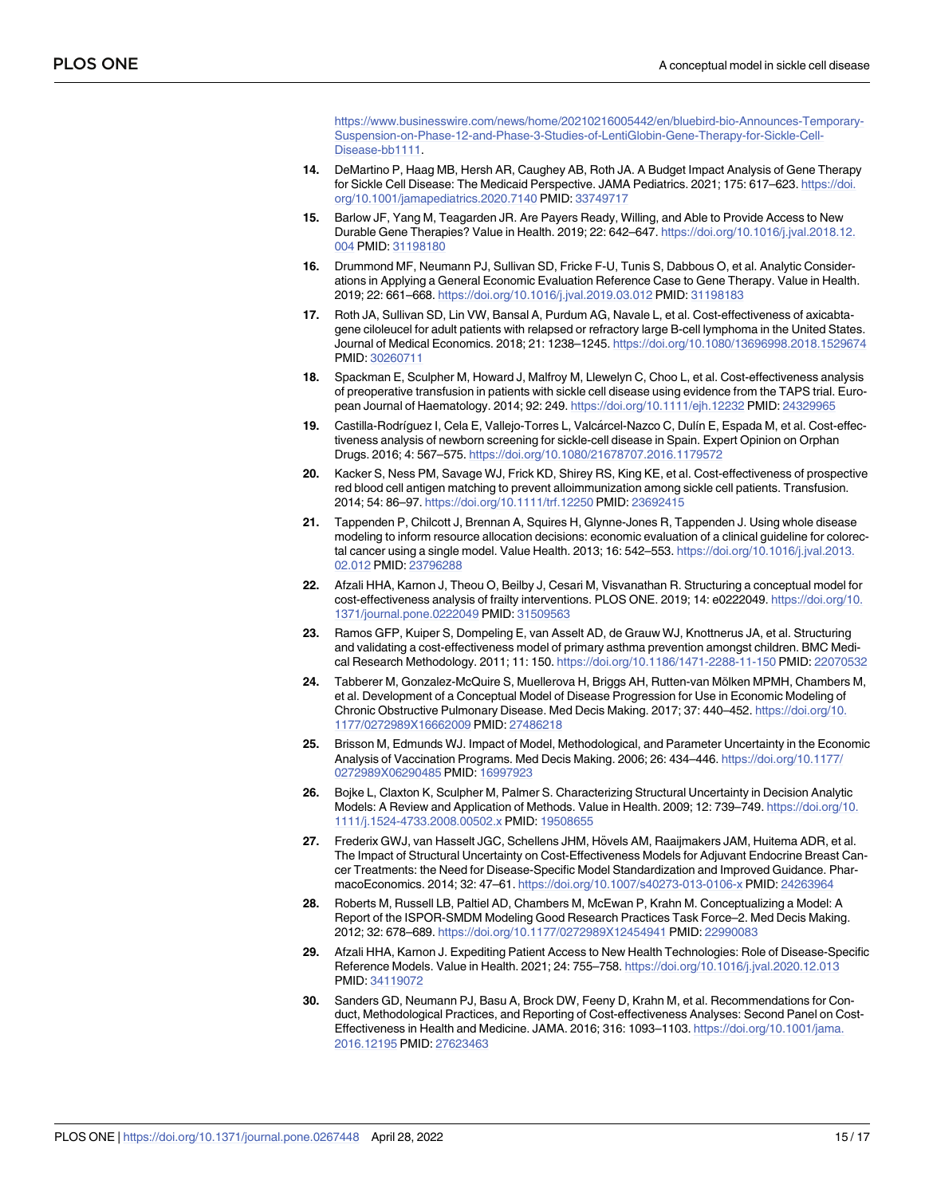[https://www.businesswire.com/news/home/20210216005442/en/bluebird-bio-Announces-Temporary-](https://www.businesswire.com/news/home/20210216005442/en/bluebird-bio-Announces-Temporary-Suspension-on-Phase-12-and-Phase-3-Studies-of-LentiGlobin-Gene-Therapy-for-Sickle-Cell-Disease-bb1111)[Suspension-on-Phase-12-and-Phase-3-Studies-of-LentiGlobin-Gene-Therapy-for-Sickle-Cell-](https://www.businesswire.com/news/home/20210216005442/en/bluebird-bio-Announces-Temporary-Suspension-on-Phase-12-and-Phase-3-Studies-of-LentiGlobin-Gene-Therapy-for-Sickle-Cell-Disease-bb1111)[Disease-bb1111.](https://www.businesswire.com/news/home/20210216005442/en/bluebird-bio-Announces-Temporary-Suspension-on-Phase-12-and-Phase-3-Studies-of-LentiGlobin-Gene-Therapy-for-Sickle-Cell-Disease-bb1111)

- <span id="page-14-0"></span>**[14](#page-10-0).** DeMartino P, Haag MB, Hersh AR, Caughey AB, Roth JA. A Budget Impact Analysis of Gene Therapy for Sickle Cell Disease: The Medicaid Perspective. JAMA Pediatrics. 2021; 175: 617–623. [https://doi.](https://doi.org/10.1001/jamapediatrics.2020.7140) [org/10.1001/jamapediatrics.2020.7140](https://doi.org/10.1001/jamapediatrics.2020.7140) PMID: [33749717](http://www.ncbi.nlm.nih.gov/pubmed/33749717)
- **[15](#page-1-0).** Barlow JF, Yang M, Teagarden JR. Are Payers Ready, Willing, and Able to Provide Access to New Durable Gene Therapies? Value in Health. 2019; 22: 642–647. [https://doi.org/10.1016/j.jval.2018.12.](https://doi.org/10.1016/j.jval.2018.12.004) [004](https://doi.org/10.1016/j.jval.2018.12.004) PMID: [31198180](http://www.ncbi.nlm.nih.gov/pubmed/31198180)
- **[16](#page-1-0).** Drummond MF, Neumann PJ, Sullivan SD, Fricke F-U, Tunis S, Dabbous O, et al. Analytic Considerations in Applying a General Economic Evaluation Reference Case to Gene Therapy. Value in Health. 2019; 22: 661–668. <https://doi.org/10.1016/j.jval.2019.03.012> PMID: [31198183](http://www.ncbi.nlm.nih.gov/pubmed/31198183)
- **[17](#page-1-0).** Roth JA, Sullivan SD, Lin VW, Bansal A, Purdum AG, Navale L, et al. Cost-effectiveness of axicabtagene ciloleucel for adult patients with relapsed or refractory large B-cell lymphoma in the United States. Journal of Medical Economics. 2018; 21: 1238–1245. <https://doi.org/10.1080/13696998.2018.1529674> PMID: [30260711](http://www.ncbi.nlm.nih.gov/pubmed/30260711)
- **[18](#page-7-0).** Spackman E, Sculpher M, Howard J, Malfroy M, Llewelyn C, Choo L, et al. Cost-effectiveness analysis of preoperative transfusion in patients with sickle cell disease using evidence from the TAPS trial. European Journal of Haematology. 2014; 92: 249. <https://doi.org/10.1111/ejh.12232> PMID: [24329965](http://www.ncbi.nlm.nih.gov/pubmed/24329965)
- **[19](#page-7-0).** Castilla-Rodrı´guez I, Cela E, Vallejo-Torres L, Valca´rcel-Nazco C, Dulı´n E, Espada M, et al. Cost-effectiveness analysis of newborn screening for sickle-cell disease in Spain. Expert Opinion on Orphan Drugs. 2016; 4: 567–575. <https://doi.org/10.1080/21678707.2016.1179572>
- **[20](#page-7-0).** Kacker S, Ness PM, Savage WJ, Frick KD, Shirey RS, King KE, et al. Cost-effectiveness of prospective red blood cell antigen matching to prevent alloimmunization among sickle cell patients. Transfusion. 2014; 54: 86–97. <https://doi.org/10.1111/trf.12250> PMID: [23692415](http://www.ncbi.nlm.nih.gov/pubmed/23692415)
- **[21](#page-2-0).** Tappenden P, Chilcott J, Brennan A, Squires H, Glynne-Jones R, Tappenden J. Using whole disease modeling to inform resource allocation decisions: economic evaluation of a clinical guideline for colorectal cancer using a single model. Value Health. 2013; 16: 542–553. [https://doi.org/10.1016/j.jval.2013.](https://doi.org/10.1016/j.jval.2013.02.012) [02.012](https://doi.org/10.1016/j.jval.2013.02.012) PMID: [23796288](http://www.ncbi.nlm.nih.gov/pubmed/23796288)
- **[22](#page-2-0).** Afzali HHA, Karnon J, Theou O, Beilby J, Cesari M, Visvanathan R. Structuring a conceptual model for cost-effectiveness analysis of frailty interventions. PLOS ONE. 2019; 14: e0222049. [https://doi.org/10.](https://doi.org/10.1371/journal.pone.0222049) [1371/journal.pone.0222049](https://doi.org/10.1371/journal.pone.0222049) PMID: [31509563](http://www.ncbi.nlm.nih.gov/pubmed/31509563)
- **[23](#page-2-0).** Ramos GFP, Kuiper S, Dompeling E, van Asselt AD, de Grauw WJ, Knottnerus JA, et al. Structuring and validating a cost-effectiveness model of primary asthma prevention amongst children. BMC Medical Research Methodology. 2011; 11: 150. <https://doi.org/10.1186/1471-2288-11-150> PMID: [22070532](http://www.ncbi.nlm.nih.gov/pubmed/22070532)
- [24](#page-11-0). Tabberer M, Gonzalez-McQuire S, Muellerova H, Briggs AH, Rutten-van Mölken MPMH, Chambers M, et al. Development of a Conceptual Model of Disease Progression for Use in Economic Modeling of Chronic Obstructive Pulmonary Disease. Med Decis Making. 2017; 37: 440–452. [https://doi.org/10.](https://doi.org/10.1177/0272989X16662009) [1177/0272989X16662009](https://doi.org/10.1177/0272989X16662009) PMID: [27486218](http://www.ncbi.nlm.nih.gov/pubmed/27486218)
- **[25](#page-2-0).** Brisson M, Edmunds WJ. Impact of Model, Methodological, and Parameter Uncertainty in the Economic Analysis of Vaccination Programs. Med Decis Making. 2006; 26: 434–446. [https://doi.org/10.1177/](https://doi.org/10.1177/0272989X06290485) [0272989X06290485](https://doi.org/10.1177/0272989X06290485) PMID: [16997923](http://www.ncbi.nlm.nih.gov/pubmed/16997923)
- **26.** Bojke L, Claxton K, Sculpher M, Palmer S. Characterizing Structural Uncertainty in Decision Analytic Models: A Review and Application of Methods. Value in Health. 2009; 12: 739–749. [https://doi.org/10.](https://doi.org/10.1111/j.1524-4733.2008.00502.x) [1111/j.1524-4733.2008.00502.x](https://doi.org/10.1111/j.1524-4733.2008.00502.x) PMID: [19508655](http://www.ncbi.nlm.nih.gov/pubmed/19508655)
- [27](#page-2-0). Frederix GWJ, van Hasselt JGC, Schellens JHM, Hövels AM, Raaijmakers JAM, Huitema ADR, et al. The Impact of Structural Uncertainty on Cost-Effectiveness Models for Adjuvant Endocrine Breast Cancer Treatments: the Need for Disease-Specific Model Standardization and Improved Guidance. PharmacoEconomics. 2014; 32: 47–61. <https://doi.org/10.1007/s40273-013-0106-x> PMID: [24263964](http://www.ncbi.nlm.nih.gov/pubmed/24263964)
- **[28](#page-3-0).** Roberts M, Russell LB, Paltiel AD, Chambers M, McEwan P, Krahn M. Conceptualizing a Model: A Report of the ISPOR-SMDM Modeling Good Research Practices Task Force–2. Med Decis Making. 2012; 32: 678–689. <https://doi.org/10.1177/0272989X12454941> PMID: [22990083](http://www.ncbi.nlm.nih.gov/pubmed/22990083)
- **[29](#page-2-0).** Afzali HHA, Karnon J. Expediting Patient Access to New Health Technologies: Role of Disease-Specific Reference Models. Value in Health. 2021; 24: 755–758. <https://doi.org/10.1016/j.jval.2020.12.013> PMID: [34119072](http://www.ncbi.nlm.nih.gov/pubmed/34119072)
- **[30](#page-3-0).** Sanders GD, Neumann PJ, Basu A, Brock DW, Feeny D, Krahn M, et al. Recommendations for Conduct, Methodological Practices, and Reporting of Cost-effectiveness Analyses: Second Panel on Cost-Effectiveness in Health and Medicine. JAMA. 2016; 316: 1093–1103. [https://doi.org/10.1001/jama.](https://doi.org/10.1001/jama.2016.12195) [2016.12195](https://doi.org/10.1001/jama.2016.12195) PMID: [27623463](http://www.ncbi.nlm.nih.gov/pubmed/27623463)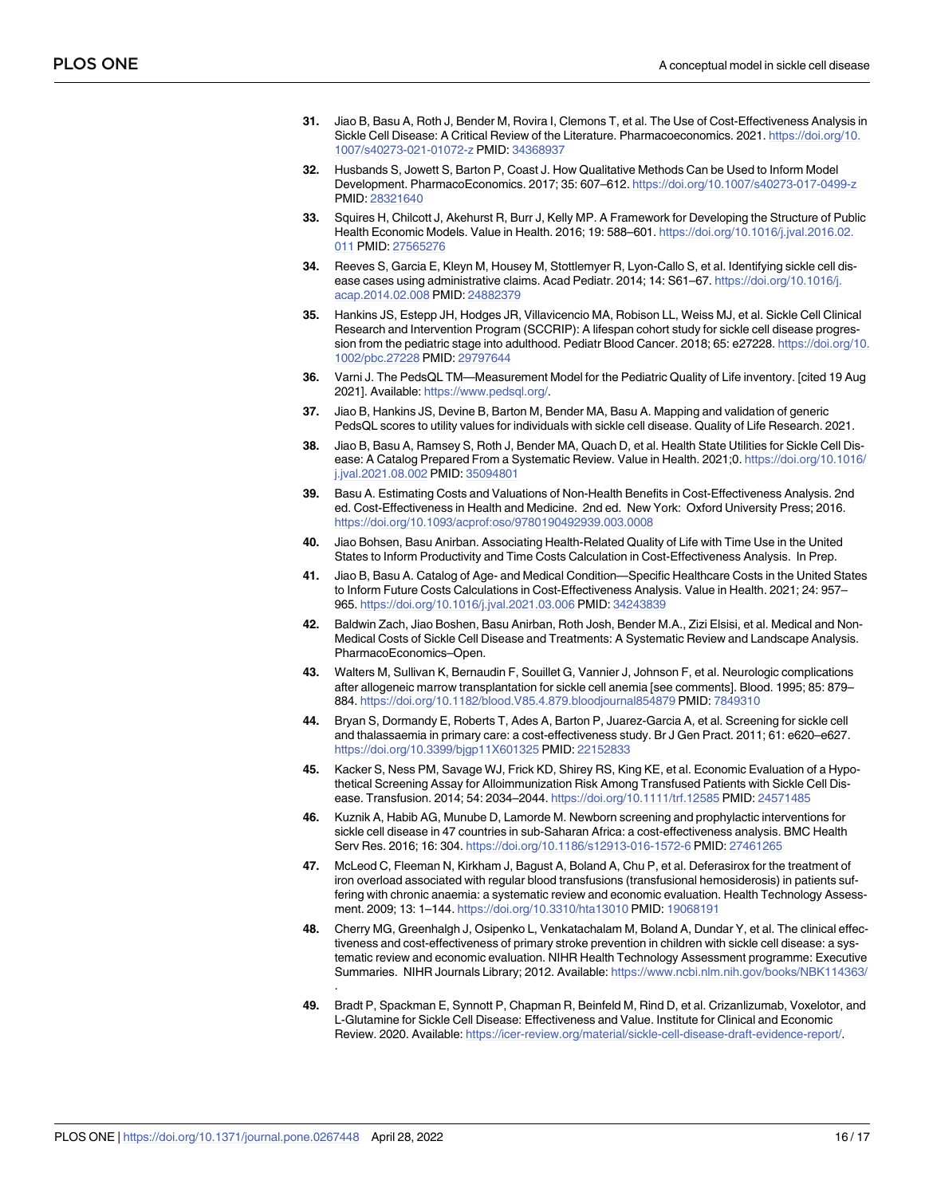- <span id="page-15-0"></span>**[31](#page-6-0).** Jiao B, Basu A, Roth J, Bender M, Rovira I, Clemons T, et al. The Use of Cost-Effectiveness Analysis in Sickle Cell Disease: A Critical Review of the Literature. Pharmacoeconomics. 2021. [https://doi.org/10.](https://doi.org/10.1007/s40273-021-01072-z) [1007/s40273-021-01072-z](https://doi.org/10.1007/s40273-021-01072-z) PMID: [34368937](http://www.ncbi.nlm.nih.gov/pubmed/34368937)
- **[32](#page-3-0).** Husbands S, Jowett S, Barton P, Coast J. How Qualitative Methods Can be Used to Inform Model Development. PharmacoEconomics. 2017; 35: 607–612. <https://doi.org/10.1007/s40273-017-0499-z> PMID: [28321640](http://www.ncbi.nlm.nih.gov/pubmed/28321640)
- **[33](#page-3-0).** Squires H, Chilcott J, Akehurst R, Burr J, Kelly MP. A Framework for Developing the Structure of Public Health Economic Models. Value in Health. 2016; 19: 588–601. [https://doi.org/10.1016/j.jval.2016.02.](https://doi.org/10.1016/j.jval.2016.02.011) [011](https://doi.org/10.1016/j.jval.2016.02.011) PMID: [27565276](http://www.ncbi.nlm.nih.gov/pubmed/27565276)
- **[34](#page-4-0).** Reeves S, Garcia E, Kleyn M, Housey M, Stottlemyer R, Lyon-Callo S, et al. Identifying sickle cell disease cases using administrative claims. Acad Pediatr. 2014; 14: S61–67. [https://doi.org/10.1016/j.](https://doi.org/10.1016/j.acap.2014.02.008) [acap.2014.02.008](https://doi.org/10.1016/j.acap.2014.02.008) PMID: [24882379](http://www.ncbi.nlm.nih.gov/pubmed/24882379)
- **[35](#page-5-0).** Hankins JS, Estepp JH, Hodges JR, Villavicencio MA, Robison LL, Weiss MJ, et al. Sickle Cell Clinical Research and Intervention Program (SCCRIP): A lifespan cohort study for sickle cell disease progression from the pediatric stage into adulthood. Pediatr Blood Cancer. 2018; 65: e27228. [https://doi.org/10.](https://doi.org/10.1002/pbc.27228) [1002/pbc.27228](https://doi.org/10.1002/pbc.27228) PMID: [29797644](http://www.ncbi.nlm.nih.gov/pubmed/29797644)
- **[36](#page-5-0).** Varni J. The PedsQL TM—Measurement Model for the Pediatric Quality of Life inventory. [cited 19 Aug 2021]. Available: [https://www.pedsql.org/.](https://www.pedsql.org/)
- **[37](#page-5-0).** Jiao B, Hankins JS, Devine B, Barton M, Bender MA, Basu A. Mapping and validation of generic PedsQL scores to utility values for individuals with sickle cell disease. Quality of Life Research. 2021.
- **[38](#page-6-0).** Jiao B, Basu A, Ramsey S, Roth J, Bender MA, Quach D, et al. Health State Utilities for Sickle Cell Disease: A Catalog Prepared From a Systematic Review. Value in Health. 2021;0. [https://doi.org/10.1016/](https://doi.org/10.1016/j.jval.2021.08.002) [j.jval.2021.08.002](https://doi.org/10.1016/j.jval.2021.08.002) PMID: [35094801](http://www.ncbi.nlm.nih.gov/pubmed/35094801)
- **[39](#page-5-0).** Basu A. Estimating Costs and Valuations of Non-Health Benefits in Cost-Effectiveness Analysis. 2nd ed. Cost-Effectiveness in Health and Medicine. 2nd ed. New York: Oxford University Press; 2016. [https://doi.org/10.1093/acprof:oso/9780190492939.003.0008](https://doi.org/10.1093/acprof%3Aoso/9780190492939.003.0008)
- **[40](#page-5-0).** Jiao Bohsen, Basu Anirban. Associating Health-Related Quality of Life with Time Use in the United States to Inform Productivity and Time Costs Calculation in Cost-Effectiveness Analysis. In Prep.
- **[41](#page-6-0).** Jiao B, Basu A. Catalog of Age- and Medical Condition—Specific Healthcare Costs in the United States to Inform Future Costs Calculations in Cost-Effectiveness Analysis. Value in Health. 2021; 24: 957– 965. <https://doi.org/10.1016/j.jval.2021.03.006> PMID: [34243839](http://www.ncbi.nlm.nih.gov/pubmed/34243839)
- **[42](#page-6-0).** Baldwin Zach, Jiao Boshen, Basu Anirban, Roth Josh, Bender M.A., Zizi Elsisi, et al. Medical and Non-Medical Costs of Sickle Cell Disease and Treatments: A Systematic Review and Landscape Analysis. PharmacoEconomics–Open.
- **[43](#page-6-0).** Walters M, Sullivan K, Bernaudin F, Souillet G, Vannier J, Johnson F, et al. Neurologic complications after allogeneic marrow transplantation for sickle cell anemia [see comments]. Blood. 1995; 85: 879– 884. <https://doi.org/10.1182/blood.V85.4.879.bloodjournal854879> PMID: [7849310](http://www.ncbi.nlm.nih.gov/pubmed/7849310)
- **[44](#page-7-0).** Bryan S, Dormandy E, Roberts T, Ades A, Barton P, Juarez-Garcia A, et al. Screening for sickle cell and thalassaemia in primary care: a cost-effectiveness study. Br J Gen Pract. 2011; 61: e620–e627. <https://doi.org/10.3399/bjgp11X601325> PMID: [22152833](http://www.ncbi.nlm.nih.gov/pubmed/22152833)
- **45.** Kacker S, Ness PM, Savage WJ, Frick KD, Shirey RS, King KE, et al. Economic Evaluation of a Hypothetical Screening Assay for Alloimmunization Risk Among Transfused Patients with Sickle Cell Disease. Transfusion. 2014; 54: 2034–2044. <https://doi.org/10.1111/trf.12585> PMID: [24571485](http://www.ncbi.nlm.nih.gov/pubmed/24571485)
- **46.** Kuznik A, Habib AG, Munube D, Lamorde M. Newborn screening and prophylactic interventions for sickle cell disease in 47 countries in sub-Saharan Africa: a cost-effectiveness analysis. BMC Health Serv Res. 2016; 16: 304. <https://doi.org/10.1186/s12913-016-1572-6> PMID: [27461265](http://www.ncbi.nlm.nih.gov/pubmed/27461265)
- **[47](#page-7-0).** McLeod C, Fleeman N, Kirkham J, Bagust A, Boland A, Chu P, et al. Deferasirox for the treatment of iron overload associated with regular blood transfusions (transfusional hemosiderosis) in patients suffering with chronic anaemia: a systematic review and economic evaluation. Health Technology Assessment. 2009; 13: 1–144. <https://doi.org/10.3310/hta13010> PMID: [19068191](http://www.ncbi.nlm.nih.gov/pubmed/19068191)
- **[48](#page-7-0).** Cherry MG, Greenhalgh J, Osipenko L, Venkatachalam M, Boland A, Dundar Y, et al. The clinical effectiveness and cost-effectiveness of primary stroke prevention in children with sickle cell disease: a systematic review and economic evaluation. NIHR Health Technology Assessment programme: Executive Summaries. NIHR Journals Library; 2012. Available: <https://www.ncbi.nlm.nih.gov/books/NBK114363/> .
- **[49](#page-7-0).** Bradt P, Spackman E, Synnott P, Chapman R, Beinfeld M, Rind D, et al. Crizanlizumab, Voxelotor, and L-Glutamine for Sickle Cell Disease: Effectiveness and Value. Institute for Clinical and Economic Review. 2020. Available: <https://icer-review.org/material/sickle-cell-disease-draft-evidence-report/>.